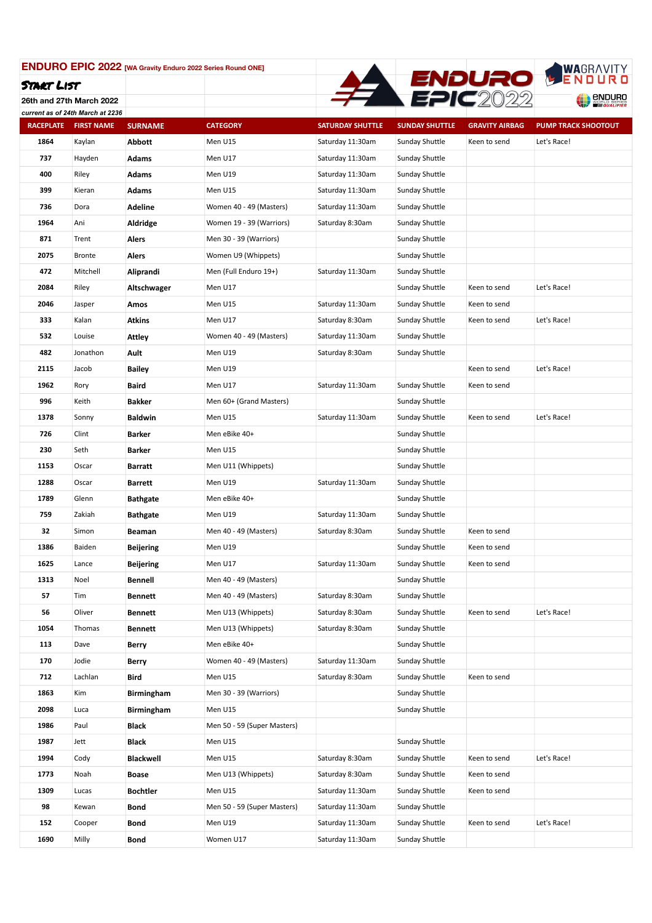

**26th and 27th March 2022**

|                  | current as of 24th March at 2236 |                   |                             |                         |                       |                       |                            |
|------------------|----------------------------------|-------------------|-----------------------------|-------------------------|-----------------------|-----------------------|----------------------------|
| <b>RACEPLATE</b> | <b>FIRST NAME</b>                | <b>SURNAME</b>    | <b>CATEGORY</b>             | <b>SATURDAY SHUTTLE</b> | <b>SUNDAY SHUTTLE</b> | <b>GRAVITY AIRBAG</b> | <b>PUMP TRACK SHOOTOUT</b> |
| 1864             | Kaylan                           | <b>Abbott</b>     | Men U15                     | Saturday 11:30am        | Sunday Shuttle        | Keen to send          | Let's Race!                |
| 737              | Hayden                           | Adams             | Men U17                     | Saturday 11:30am        | Sunday Shuttle        |                       |                            |
| 400              | Riley                            | <b>Adams</b>      | Men U19                     | Saturday 11:30am        | Sunday Shuttle        |                       |                            |
| 399              | Kieran                           | Adams             | Men U15                     | Saturday 11:30am        | Sunday Shuttle        |                       |                            |
| 736              | Dora                             | Adeline           | Women 40 - 49 (Masters)     | Saturday 11:30am        | Sunday Shuttle        |                       |                            |
| 1964             | Ani                              | Aldridge          | Women 19 - 39 (Warriors)    | Saturday 8:30am         | Sunday Shuttle        |                       |                            |
| 871              | Trent                            | Alers             | Men 30 - 39 (Warriors)      |                         | Sunday Shuttle        |                       |                            |
| 2075             | <b>Bronte</b>                    | Alers             | Women U9 (Whippets)         |                         | Sunday Shuttle        |                       |                            |
| 472              | Mitchell                         | Aliprandi         | Men (Full Enduro 19+)       | Saturday 11:30am        | Sunday Shuttle        |                       |                            |
| 2084             | Riley                            | Altschwager       | Men U17                     |                         | Sunday Shuttle        | Keen to send          | Let's Race!                |
| 2046             | Jasper                           | Amos              | Men U15                     | Saturday 11:30am        | Sunday Shuttle        | Keen to send          |                            |
| 333              | Kalan                            | Atkins            | Men U17                     | Saturday 8:30am         | Sunday Shuttle        | Keen to send          | Let's Race!                |
| 532              | Louise                           | <b>Attley</b>     | Women 40 - 49 (Masters)     | Saturday 11:30am        | Sunday Shuttle        |                       |                            |
| 482              | Jonathon                         | Ault              | Men U19                     | Saturday 8:30am         | Sunday Shuttle        |                       |                            |
| 2115             | Jacob                            | Bailey            | Men U19                     |                         |                       | Keen to send          | Let's Race!                |
| 1962             | Rory                             | Baird             | Men U17                     | Saturday 11:30am        | Sunday Shuttle        | Keen to send          |                            |
| 996              | Keith                            | Bakker            | Men 60+ (Grand Masters)     |                         | Sunday Shuttle        |                       |                            |
| 1378             | Sonny                            | <b>Baldwin</b>    | Men U15                     | Saturday 11:30am        | Sunday Shuttle        | Keen to send          | Let's Race!                |
| 726              | Clint                            | Barker            | Men eBike 40+               |                         | Sunday Shuttle        |                       |                            |
| 230              | Seth                             | Barker            | Men U15                     |                         | Sunday Shuttle        |                       |                            |
| 1153             | Oscar                            | Barratt           | Men U11 (Whippets)          |                         | Sunday Shuttle        |                       |                            |
| 1288             | Oscar                            | Barrett           | Men U19                     | Saturday 11:30am        | Sunday Shuttle        |                       |                            |
| 1789             | Glenn                            | <b>Bathgate</b>   | Men eBike 40+               |                         | Sunday Shuttle        |                       |                            |
| 759              | Zakiah                           | <b>Bathgate</b>   | Men U19                     | Saturday 11:30am        | Sunday Shuttle        |                       |                            |
| 32               | Simon                            | Beaman            | Men 40 - 49 (Masters)       | Saturday 8:30am         | Sunday Shuttle        | Keen to send          |                            |
| 1386             | Baiden                           | Beijering         | Men U19                     |                         | Sunday Shuttle        | Keen to send          |                            |
| 1625             | Lance                            | Beijering         | Men U17                     | Saturday 11:30am        | Sunday Shuttle        | Keen to send          |                            |
| 1313             | Noel                             | Bennell           | Men 40 - 49 (Masters)       |                         | Sunday Shuttle        |                       |                            |
| 57               | Tim                              | <b>Bennett</b>    | Men 40 - 49 (Masters)       | Saturday 8:30am         | Sunday Shuttle        |                       |                            |
| 56               | Oliver                           | Bennett           | Men U13 (Whippets)          | Saturday 8:30am         | Sunday Shuttle        | Keen to send          | Let's Race!                |
| 1054             | Thomas                           | <b>Bennett</b>    | Men U13 (Whippets)          | Saturday 8:30am         | Sunday Shuttle        |                       |                            |
| 113              | Dave                             | Berry             | Men eBike 40+               |                         | Sunday Shuttle        |                       |                            |
| 170              | Jodie                            | Berry             | Women 40 - 49 (Masters)     | Saturday 11:30am        | Sunday Shuttle        |                       |                            |
| 712              | Lachlan                          | Bird              | Men U15                     | Saturday 8:30am         | Sunday Shuttle        | Keen to send          |                            |
| 1863             | Kim                              | <b>Birmingham</b> | Men 30 - 39 (Warriors)      |                         | Sunday Shuttle        |                       |                            |
| 2098             | Luca                             | <b>Birmingham</b> | Men U15                     |                         | Sunday Shuttle        |                       |                            |
| 1986             | Paul                             | Black             | Men 50 - 59 (Super Masters) |                         |                       |                       |                            |
| 1987             | Jett                             | Black             | Men U15                     |                         | Sunday Shuttle        |                       |                            |
| 1994             | Cody                             | Blackwell         | Men U15                     | Saturday 8:30am         | Sunday Shuttle        | Keen to send          | Let's Race!                |
| 1773             | Noah                             | Boase             | Men U13 (Whippets)          | Saturday 8:30am         | Sunday Shuttle        | Keen to send          |                            |
| 1309             | Lucas                            | <b>Bochtler</b>   | Men U15                     | Saturday 11:30am        | Sunday Shuttle        | Keen to send          |                            |
| 98               | Kewan                            | Bond              | Men 50 - 59 (Super Masters) | Saturday 11:30am        | Sunday Shuttle        |                       |                            |
| 152              | Cooper                           | Bond              | Men U19                     | Saturday 11:30am        | Sunday Shuttle        | Keen to send          | Let's Race!                |
| 1690             | Milly                            | Bond              | Women U17                   | Saturday 11:30am        | Sunday Shuttle        |                       |                            |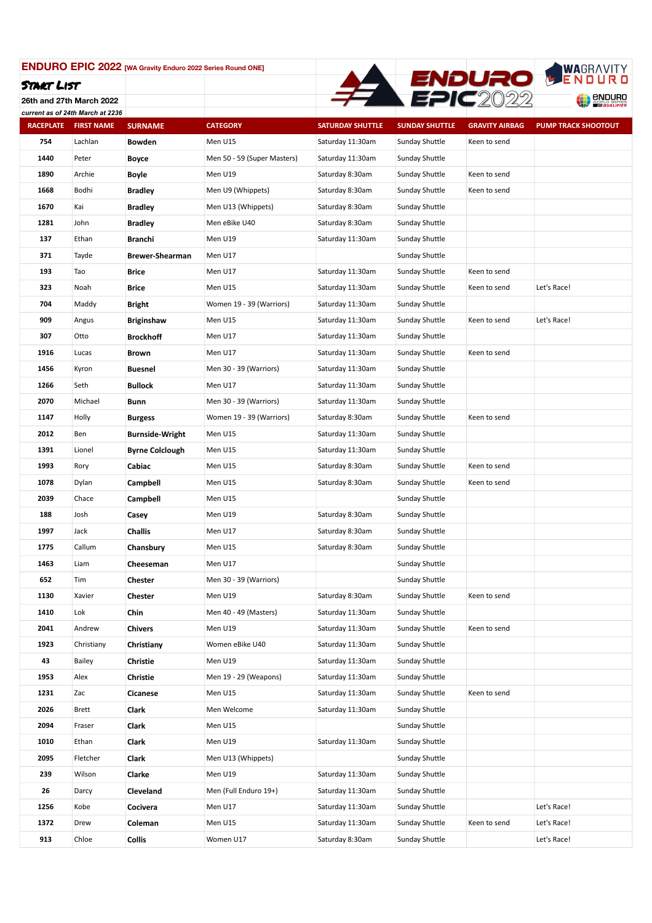

**26th and 27th March 2022**

|                  | current as of 24th March at 2236 |                        |                             |                         |                       |                       |                            |
|------------------|----------------------------------|------------------------|-----------------------------|-------------------------|-----------------------|-----------------------|----------------------------|
| <b>RACEPLATE</b> | <b>FIRST NAME</b>                | <b>SURNAME</b>         | <b>CATEGORY</b>             | <b>SATURDAY SHUTTLE</b> | <b>SUNDAY SHUTTLE</b> | <b>GRAVITY AIRBAG</b> | <b>PUMP TRACK SHOOTOUT</b> |
| 754              | Lachlan                          | <b>Bowden</b>          | Men U15                     | Saturday 11:30am        | Sunday Shuttle        | Keen to send          |                            |
| 1440             | Peter                            | Boyce                  | Men 50 - 59 (Super Masters) | Saturday 11:30am        | Sunday Shuttle        |                       |                            |
| 1890             | Archie                           | Boyle                  | Men U19                     | Saturday 8:30am         | Sunday Shuttle        | Keen to send          |                            |
| 1668             | Bodhi                            | <b>Bradley</b>         | Men U9 (Whippets)           | Saturday 8:30am         | Sunday Shuttle        | Keen to send          |                            |
| 1670             | Kai                              | <b>Bradley</b>         | Men U13 (Whippets)          | Saturday 8:30am         | Sunday Shuttle        |                       |                            |
| 1281             | John                             | <b>Bradley</b>         | Men eBike U40               | Saturday 8:30am         | Sunday Shuttle        |                       |                            |
| 137              | Ethan                            | Branchi                | Men U19                     | Saturday 11:30am        | Sunday Shuttle        |                       |                            |
| 371              | Tayde                            | <b>Brewer-Shearman</b> | Men U17                     |                         | Sunday Shuttle        |                       |                            |
| 193              | Tao                              | Brice                  | Men U17                     | Saturday 11:30am        | Sunday Shuttle        | Keen to send          |                            |
| 323              | Noah                             | Brice                  | Men U15                     | Saturday 11:30am        | Sunday Shuttle        | Keen to send          | Let's Race!                |
| 704              | Maddy                            | Bright                 | Women 19 - 39 (Warriors)    | Saturday 11:30am        | Sunday Shuttle        |                       |                            |
| 909              | Angus                            | <b>Briginshaw</b>      | Men U15                     | Saturday 11:30am        | Sunday Shuttle        | Keen to send          | Let's Race!                |
| 307              | Otto                             | <b>Brockhoff</b>       | Men U17                     | Saturday 11:30am        | Sunday Shuttle        |                       |                            |
| 1916             | Lucas                            | Brown                  | Men U17                     | Saturday 11:30am        | Sunday Shuttle        | Keen to send          |                            |
| 1456             | Kyron                            | <b>Buesnel</b>         | Men 30 - 39 (Warriors)      | Saturday 11:30am        | Sunday Shuttle        |                       |                            |
| 1266             | Seth                             | <b>Bullock</b>         | Men U17                     | Saturday 11:30am        | Sunday Shuttle        |                       |                            |
| 2070             | Michael                          | Bunn                   | Men 30 - 39 (Warriors)      | Saturday 11:30am        | Sunday Shuttle        |                       |                            |
| 1147             | Holly                            | <b>Burgess</b>         | Women 19 - 39 (Warriors)    | Saturday 8:30am         | Sunday Shuttle        | Keen to send          |                            |
| 2012             | Ben                              | <b>Burnside-Wright</b> | Men U15                     | Saturday 11:30am        | Sunday Shuttle        |                       |                            |
| 1391             | Lionel                           | <b>Byrne Colclough</b> | Men U15                     | Saturday 11:30am        | Sunday Shuttle        |                       |                            |
| 1993             | Rory                             | Cabiac                 | Men U15                     | Saturday 8:30am         | Sunday Shuttle        | Keen to send          |                            |
| 1078             | Dylan                            | Campbell               | Men U15                     | Saturday 8:30am         | Sunday Shuttle        | Keen to send          |                            |
| 2039             | Chace                            | Campbell               | Men U15                     |                         | Sunday Shuttle        |                       |                            |
| 188              | Josh                             | Casey                  | Men U19                     | Saturday 8:30am         | Sunday Shuttle        |                       |                            |
| 1997             | Jack                             | <b>Challis</b>         | Men U17                     | Saturday 8:30am         | Sunday Shuttle        |                       |                            |
| 1775             | Callum                           | Chansbury              | Men U15                     | Saturday 8:30am         | Sunday Shuttle        |                       |                            |
| 1463             | Liam                             | Cheeseman              | Men U17                     |                         | Sunday Shuttle        |                       |                            |
| 652              | Tim                              | Chester                | Men 30 - 39 (Warriors)      |                         | Sunday Shuttle        |                       |                            |
| 1130             | Xavier                           | Chester                | Men U19                     | Saturday 8:30am         | <b>Sunday Shuttle</b> | Keen to send          |                            |
| 1410             | Lok                              | Chin                   | Men 40 - 49 (Masters)       | Saturday 11:30am        | Sunday Shuttle        |                       |                            |
| 2041             | Andrew                           | <b>Chivers</b>         | Men U19                     | Saturday 11:30am        | Sunday Shuttle        | Keen to send          |                            |
| 1923             | Christiany                       | Christiany             | Women eBike U40             | Saturday 11:30am        | Sunday Shuttle        |                       |                            |
| 43               | <b>Bailey</b>                    | Christie               | Men U19                     | Saturday 11:30am        | Sunday Shuttle        |                       |                            |
| 1953             | Alex                             | Christie               | Men 19 - 29 (Weapons)       | Saturday 11:30am        | Sunday Shuttle        |                       |                            |
| 1231             | Zac                              | Cicanese               | Men U15                     | Saturday 11:30am        | Sunday Shuttle        | Keen to send          |                            |
| 2026             | <b>Brett</b>                     | Clark                  | Men Welcome                 | Saturday 11:30am        | Sunday Shuttle        |                       |                            |
| 2094             | Fraser                           | Clark                  | Men U15                     |                         | Sunday Shuttle        |                       |                            |
| 1010             | Ethan                            | Clark                  | Men U19                     | Saturday 11:30am        | Sunday Shuttle        |                       |                            |
| 2095             | Fletcher                         | Clark                  | Men U13 (Whippets)          |                         | Sunday Shuttle        |                       |                            |
| 239              | Wilson                           | Clarke                 | Men U19                     | Saturday 11:30am        | Sunday Shuttle        |                       |                            |
| 26               | Darcy                            | Cleveland              | Men (Full Enduro 19+)       | Saturday 11:30am        | Sunday Shuttle        |                       |                            |
| 1256             | Kobe                             | Cocivera               | Men U17                     | Saturday 11:30am        | Sunday Shuttle        |                       | Let's Race!                |
| 1372             | Drew                             | Coleman                | Men U15                     | Saturday 11:30am        | Sunday Shuttle        | Keen to send          | Let's Race!                |
| 913              | Chloe                            | Collis                 | Women U17                   | Saturday 8:30am         | Sunday Shuttle        |                       | Let's Race!                |
|                  |                                  |                        |                             |                         |                       |                       |                            |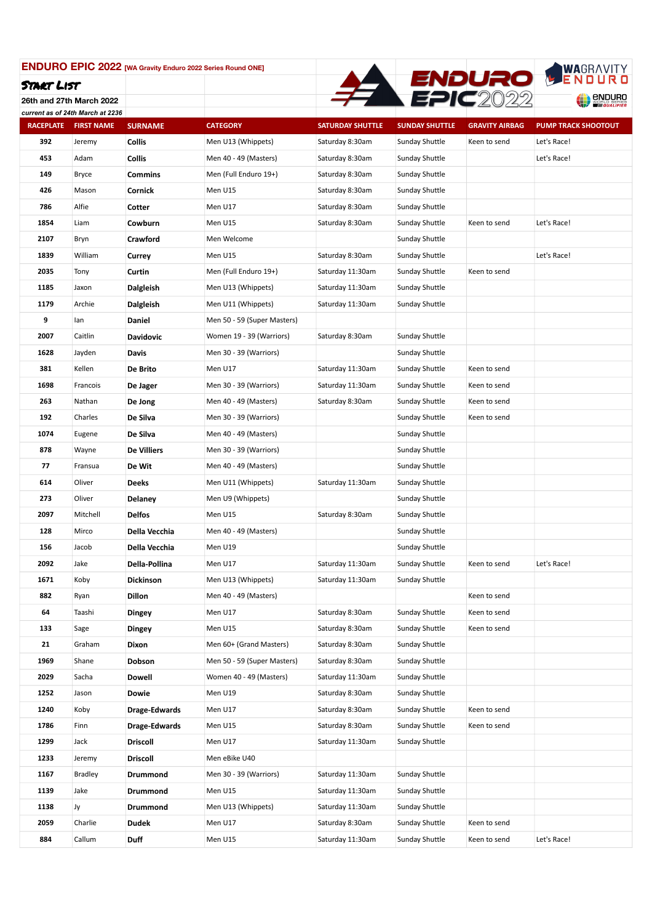

**26th and 27th March 2022** *current as of 24th March at 2236*

| current as or zwar march at zzoo<br><b>RACEPLATE</b> | <b>FIRST NAME</b> | <b>SURNAME</b>   | <b>CATEGORY</b>             | <b>SATURDAY SHUTTLE</b> | <b>SUNDAY SHUTTLE</b> | <b>GRAVITY AIRBAG</b> | <b>PUMP TRACK SHOOTOUT</b> |
|------------------------------------------------------|-------------------|------------------|-----------------------------|-------------------------|-----------------------|-----------------------|----------------------------|
| 392                                                  | Jeremy            | Collis           | Men U13 (Whippets)          | Saturday 8:30am         | Sunday Shuttle        | Keen to send          | Let's Race!                |
| 453                                                  | Adam              | <b>Collis</b>    | Men 40 - 49 (Masters)       | Saturday 8:30am         | Sunday Shuttle        |                       | Let's Race!                |
| 149                                                  | Bryce             | <b>Commins</b>   | Men (Full Enduro 19+)       | Saturday 8:30am         | Sunday Shuttle        |                       |                            |
| 426                                                  | Mason             | Cornick          | Men U15                     | Saturday 8:30am         | Sunday Shuttle        |                       |                            |
| 786                                                  | Alfie             | Cotter           | Men U17                     | Saturday 8:30am         | Sunday Shuttle        |                       |                            |
| 1854                                                 | Liam              | Cowburn          | Men U15                     | Saturday 8:30am         | Sunday Shuttle        | Keen to send          | Let's Race!                |
| 2107                                                 | Bryn              | Crawford         | Men Welcome                 |                         | Sunday Shuttle        |                       |                            |
| 1839                                                 | William           | Currey           | Men U15                     | Saturday 8:30am         | Sunday Shuttle        |                       | Let's Race!                |
| 2035                                                 | Tony              | Curtin           | Men (Full Enduro 19+)       | Saturday 11:30am        | Sunday Shuttle        | Keen to send          |                            |
| 1185                                                 | Jaxon             | <b>Dalgleish</b> | Men U13 (Whippets)          | Saturday 11:30am        | Sunday Shuttle        |                       |                            |
| 1179                                                 | Archie            | <b>Dalgleish</b> | Men U11 (Whippets)          | Saturday 11:30am        | Sunday Shuttle        |                       |                            |
| 9                                                    | lan               | Daniel           | Men 50 - 59 (Super Masters) |                         |                       |                       |                            |
| 2007                                                 | Caitlin           | <b>Davidovic</b> | Women 19 - 39 (Warriors)    | Saturday 8:30am         | Sunday Shuttle        |                       |                            |
| 1628                                                 | Jayden            | Davis            | Men 30 - 39 (Warriors)      |                         | Sunday Shuttle        |                       |                            |
| 381                                                  | Kellen            | De Brito         | Men U17                     | Saturday 11:30am        | Sunday Shuttle        | Keen to send          |                            |
| 1698                                                 | Francois          | De Jager         | Men 30 - 39 (Warriors)      | Saturday 11:30am        | Sunday Shuttle        | Keen to send          |                            |
| 263                                                  | Nathan            | De Jong          | Men 40 - 49 (Masters)       | Saturday 8:30am         | Sunday Shuttle        | Keen to send          |                            |
| 192                                                  | Charles           | De Silva         | Men 30 - 39 (Warriors)      |                         | Sunday Shuttle        | Keen to send          |                            |
| 1074                                                 | Eugene            | De Silva         | Men 40 - 49 (Masters)       |                         | Sunday Shuttle        |                       |                            |
| 878                                                  | Wayne             | De Villiers      | Men 30 - 39 (Warriors)      |                         | Sunday Shuttle        |                       |                            |
| 77                                                   | Fransua           | De Wit           | Men 40 - 49 (Masters)       |                         | Sunday Shuttle        |                       |                            |
| 614                                                  | Oliver            | <b>Deeks</b>     | Men U11 (Whippets)          | Saturday 11:30am        | Sunday Shuttle        |                       |                            |
| 273                                                  | Oliver            | Delaney          | Men U9 (Whippets)           |                         | Sunday Shuttle        |                       |                            |
| 2097                                                 | Mitchell          | <b>Delfos</b>    | Men U15                     | Saturday 8:30am         | Sunday Shuttle        |                       |                            |
| 128                                                  | Mirco             | Della Vecchia    | Men 40 - 49 (Masters)       |                         | Sunday Shuttle        |                       |                            |
| 156                                                  | Jacob             | Della Vecchia    | Men U19                     |                         | Sunday Shuttle        |                       |                            |
| 2092                                                 | Jake              | Della-Pollina    | Men U17                     | Saturday 11:30am        | Sunday Shuttle        | Keen to send          | Let's Race!                |
| 1671                                                 | Koby              | Dickinson        | Men U13 (Whippets)          | Saturday 11:30am        | <b>Sunday Shuttle</b> |                       |                            |
| 882                                                  | Ryan              | Dillon           | Men 40 - 49 (Masters)       |                         |                       | Keen to send          |                            |
| 64                                                   | Taashi            | Dingey           | Men U17                     | Saturday 8:30am         | Sunday Shuttle        | Keen to send          |                            |
| 133                                                  | Sage              | Dingey           | Men U15                     | Saturday 8:30am         | Sunday Shuttle        | Keen to send          |                            |
| 21                                                   | Graham            | Dixon            | Men 60+ (Grand Masters)     | Saturday 8:30am         | Sunday Shuttle        |                       |                            |
| 1969                                                 | Shane             | Dobson           | Men 50 - 59 (Super Masters) | Saturday 8:30am         | Sunday Shuttle        |                       |                            |
| 2029                                                 | Sacha             | Dowell           | Women 40 - 49 (Masters)     | Saturday 11:30am        | Sunday Shuttle        |                       |                            |
| 1252                                                 | Jason             | Dowie            | Men U19                     | Saturday 8:30am         | Sunday Shuttle        |                       |                            |
| 1240                                                 | Koby              | Drage-Edwards    | Men U17                     | Saturday 8:30am         | Sunday Shuttle        | Keen to send          |                            |
| 1786                                                 | Finn              | Drage-Edwards    | Men U15                     | Saturday 8:30am         | Sunday Shuttle        | Keen to send          |                            |
| 1299                                                 | Jack              | <b>Driscoll</b>  | Men U17                     | Saturday 11:30am        | Sunday Shuttle        |                       |                            |
| 1233                                                 | Jeremy            | <b>Driscoll</b>  | Men eBike U40               |                         |                       |                       |                            |
| 1167                                                 | <b>Bradley</b>    | Drummond         | Men 30 - 39 (Warriors)      | Saturday 11:30am        | Sunday Shuttle        |                       |                            |
| 1139                                                 | Jake              | Drummond         | Men U15                     | Saturday 11:30am        | Sunday Shuttle        |                       |                            |
| 1138                                                 | Jy                | Drummond         | Men U13 (Whippets)          | Saturday 11:30am        | Sunday Shuttle        |                       |                            |
| 2059                                                 | Charlie           | <b>Dudek</b>     | Men U17                     | Saturday 8:30am         | Sunday Shuttle        | Keen to send          |                            |
| 884                                                  | Callum            | Duff             | Men U15                     | Saturday 11:30am        | Sunday Shuttle        | Keen to send          | Let's Race!                |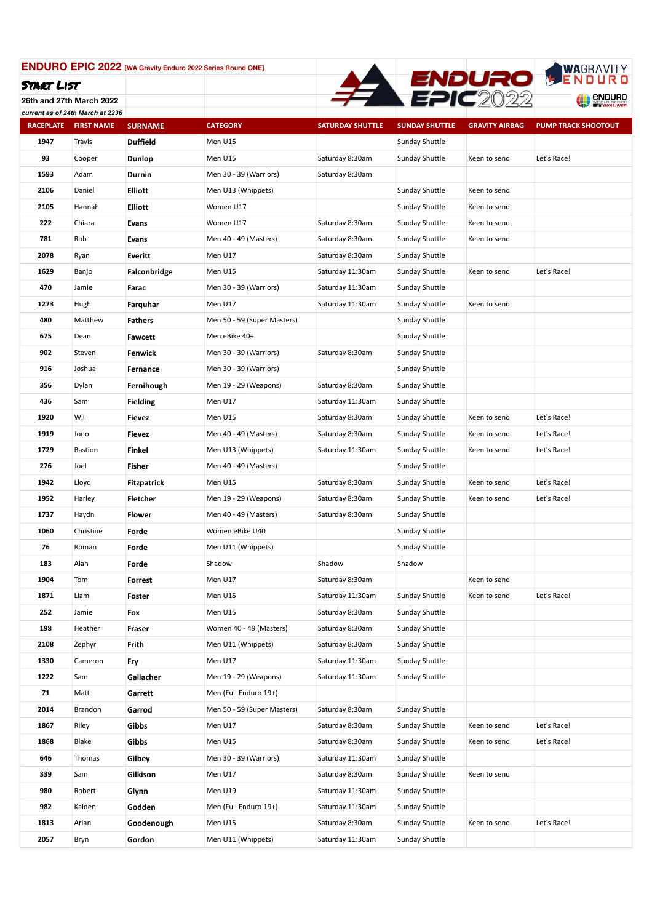

**26th and 27th March 2022** *current as of 24th March at 2236*

| Current as Or Z4th march at 2250<br><b>RACEPLATE</b> | <b>FIRST NAME</b> | <b>SURNAME</b>     | <b>CATEGORY</b>             | <b>SATURDAY SHUTTLE</b> | <b>SUNDAY SHUTTLE</b> | <b>GRAVITY AIRBAG</b> | <b>PUMP TRACK SHOOTOUT</b> |
|------------------------------------------------------|-------------------|--------------------|-----------------------------|-------------------------|-----------------------|-----------------------|----------------------------|
| 1947                                                 | Travis            | <b>Duffield</b>    | Men U15                     |                         | Sunday Shuttle        |                       |                            |
| 93                                                   | Cooper            | Dunlop             | Men U15                     | Saturday 8:30am         | Sunday Shuttle        | Keen to send          | Let's Race!                |
| 1593                                                 | Adam              | Durnin             | Men 30 - 39 (Warriors)      | Saturday 8:30am         |                       |                       |                            |
| 2106                                                 | Daniel            | <b>Elliott</b>     | Men U13 (Whippets)          |                         | Sunday Shuttle        | Keen to send          |                            |
| 2105                                                 | Hannah            | <b>Elliott</b>     | Women U17                   |                         | Sunday Shuttle        | Keen to send          |                            |
| 222                                                  | Chiara            | Evans              | Women U17                   | Saturday 8:30am         | Sunday Shuttle        | Keen to send          |                            |
| 781                                                  | Rob               | Evans              | Men 40 - 49 (Masters)       | Saturday 8:30am         | Sunday Shuttle        | Keen to send          |                            |
| 2078                                                 | Ryan              | Everitt            | Men U17                     | Saturday 8:30am         | Sunday Shuttle        |                       |                            |
| 1629                                                 | Banjo             | Falconbridge       | Men U15                     | Saturday 11:30am        | Sunday Shuttle        | Keen to send          | Let's Race!                |
| 470                                                  | Jamie             | Farac              | Men 30 - 39 (Warriors)      | Saturday 11:30am        | Sunday Shuttle        |                       |                            |
| 1273                                                 | Hugh              | Farquhar           | Men U17                     | Saturday 11:30am        | Sunday Shuttle        | Keen to send          |                            |
| 480                                                  | Matthew           | Fathers            | Men 50 - 59 (Super Masters) |                         | Sunday Shuttle        |                       |                            |
| 675                                                  | Dean              | Fawcett            | Men eBike 40+               |                         | Sunday Shuttle        |                       |                            |
| 902                                                  | Steven            | Fenwick            | Men 30 - 39 (Warriors)      | Saturday 8:30am         | Sunday Shuttle        |                       |                            |
| 916                                                  | Joshua            | Fernance           | Men 30 - 39 (Warriors)      |                         | Sunday Shuttle        |                       |                            |
| 356                                                  | Dylan             | Fernihough         | Men 19 - 29 (Weapons)       | Saturday 8:30am         | Sunday Shuttle        |                       |                            |
| 436                                                  | Sam               | <b>Fielding</b>    | Men U17                     | Saturday 11:30am        | Sunday Shuttle        |                       |                            |
| 1920                                                 | Wil               | Fievez             | Men U15                     | Saturday 8:30am         | Sunday Shuttle        | Keen to send          | Let's Race!                |
| 1919                                                 | Jono              | Fievez             | Men 40 - 49 (Masters)       | Saturday 8:30am         | Sunday Shuttle        | Keen to send          | Let's Race!                |
| 1729                                                 | <b>Bastion</b>    | Finkel             | Men U13 (Whippets)          | Saturday 11:30am        | Sunday Shuttle        | Keen to send          | Let's Race!                |
| 276                                                  | Joel              | Fisher             | Men 40 - 49 (Masters)       |                         | Sunday Shuttle        |                       |                            |
| 1942                                                 | Lloyd             | <b>Fitzpatrick</b> | Men U15                     | Saturday 8:30am         | Sunday Shuttle        | Keen to send          | Let's Race!                |
| 1952                                                 | Harley            | <b>Fletcher</b>    | Men 19 - 29 (Weapons)       | Saturday 8:30am         | Sunday Shuttle        | Keen to send          | Let's Race!                |
| 1737                                                 | Haydn             | Flower             | Men 40 - 49 (Masters)       | Saturday 8:30am         | Sunday Shuttle        |                       |                            |
| 1060                                                 | Christine         | Forde              | Women eBike U40             |                         | Sunday Shuttle        |                       |                            |
| 76                                                   | Roman             | Forde              | Men U11 (Whippets)          |                         | Sunday Shuttle        |                       |                            |
| 183                                                  | Alan              | Forde              | Shadow                      | Shadow                  | Shadow                |                       |                            |
| 1904                                                 | Tom               | Forrest            | Men U17                     | Saturday 8:30am         |                       | Keen to send          |                            |
| 1871                                                 | Liam              | Foster             | Men U15                     | Saturday 11:30am        | Sunday Shuttle        | Keen to send          | Let's Race!                |
| 252                                                  | Jamie             | Fox                | Men U15                     | Saturday 8:30am         | Sunday Shuttle        |                       |                            |
| 198                                                  | Heather           | Fraser             | Women 40 - 49 (Masters)     | Saturday 8:30am         | Sunday Shuttle        |                       |                            |
| 2108                                                 | Zephyr            | Frith              | Men U11 (Whippets)          | Saturday 8:30am         | Sunday Shuttle        |                       |                            |
| 1330                                                 | Cameron           | Fry                | Men U17                     | Saturday 11:30am        | Sunday Shuttle        |                       |                            |
| 1222                                                 | Sam               | Gallacher          | Men 19 - 29 (Weapons)       | Saturday 11:30am        | Sunday Shuttle        |                       |                            |
| 71                                                   | Matt              | Garrett            | Men (Full Enduro 19+)       |                         |                       |                       |                            |
| 2014                                                 | Brandon           | Garrod             | Men 50 - 59 (Super Masters) | Saturday 8:30am         | Sunday Shuttle        |                       |                            |
| 1867                                                 | Riley             | Gibbs              | Men U17                     | Saturday 8:30am         | Sunday Shuttle        | Keen to send          | Let's Race!                |
| 1868                                                 | Blake             | Gibbs              | Men U15                     | Saturday 8:30am         | Sunday Shuttle        | Keen to send          | Let's Race!                |
| 646                                                  | Thomas            | Gilbey             | Men 30 - 39 (Warriors)      | Saturday 11:30am        | Sunday Shuttle        |                       |                            |
| 339                                                  | Sam               | Gilkison           | Men U17                     | Saturday 8:30am         | Sunday Shuttle        | Keen to send          |                            |
| 980                                                  | Robert            | Glynn              | Men U19                     | Saturday 11:30am        | Sunday Shuttle        |                       |                            |
| 982                                                  | Kaiden            | Godden             | Men (Full Enduro 19+)       | Saturday 11:30am        | Sunday Shuttle        |                       |                            |
| 1813                                                 | Arian             | Goodenough         | Men U15                     | Saturday 8:30am         | Sunday Shuttle        | Keen to send          | Let's Race!                |
| 2057                                                 | Bryn              | Gordon             | Men U11 (Whippets)          | Saturday 11:30am        | Sunday Shuttle        |                       |                            |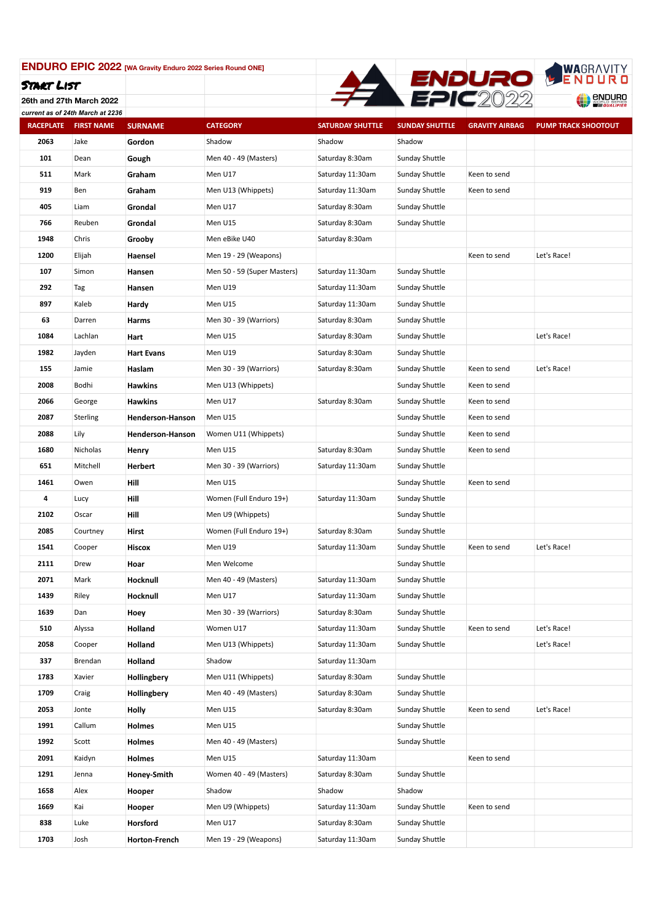

**26th and 27th March 2022** *current as of 24th March at 2236*

| Current as Or Z4th march at 2250<br><b>RACEPLATE</b> | <b>FIRST NAME</b> | <b>SURNAME</b>          | <b>CATEGORY</b>             | <b>SATURDAY SHUTTLE</b> | <b>SUNDAY SHUTTLE</b> | <b>GRAVITY AIRBAG</b> | <b>PUMP TRACK SHOOTOUT</b> |
|------------------------------------------------------|-------------------|-------------------------|-----------------------------|-------------------------|-----------------------|-----------------------|----------------------------|
| 2063                                                 | Jake              | Gordon                  | Shadow                      | Shadow                  | Shadow                |                       |                            |
| 101                                                  | Dean              | Gough                   | Men 40 - 49 (Masters)       | Saturday 8:30am         | Sunday Shuttle        |                       |                            |
| 511                                                  | Mark              | Graham                  | Men U17                     | Saturday 11:30am        | Sunday Shuttle        | Keen to send          |                            |
| 919                                                  | Ben               | Graham                  | Men U13 (Whippets)          | Saturday 11:30am        | Sunday Shuttle        | Keen to send          |                            |
| 405                                                  | Liam              | Grondal                 | Men U17                     | Saturday 8:30am         | Sunday Shuttle        |                       |                            |
| 766                                                  | Reuben            | Grondal                 | Men U15                     | Saturday 8:30am         | Sunday Shuttle        |                       |                            |
| 1948                                                 | Chris             | Grooby                  | Men eBike U40               | Saturday 8:30am         |                       |                       |                            |
| 1200                                                 | Elijah            | Haensel                 | Men 19 - 29 (Weapons)       |                         |                       | Keen to send          | Let's Race!                |
| 107                                                  | Simon             | Hansen                  | Men 50 - 59 (Super Masters) | Saturday 11:30am        | Sunday Shuttle        |                       |                            |
| 292                                                  | Tag               | Hansen                  | Men U19                     | Saturday 11:30am        | Sunday Shuttle        |                       |                            |
| 897                                                  | Kaleb             | Hardy                   | Men U15                     | Saturday 11:30am        | Sunday Shuttle        |                       |                            |
| 63                                                   | Darren            | Harms                   | Men 30 - 39 (Warriors)      | Saturday 8:30am         | Sunday Shuttle        |                       |                            |
| 1084                                                 | Lachlan           | Hart                    | Men U15                     | Saturday 8:30am         | Sunday Shuttle        |                       | Let's Race!                |
| 1982                                                 | Jayden            | <b>Hart Evans</b>       | Men U19                     | Saturday 8:30am         | Sunday Shuttle        |                       |                            |
| 155                                                  | Jamie             | Haslam                  | Men 30 - 39 (Warriors)      | Saturday 8:30am         | Sunday Shuttle        | Keen to send          | Let's Race!                |
| 2008                                                 | Bodhi             | <b>Hawkins</b>          | Men U13 (Whippets)          |                         | Sunday Shuttle        | Keen to send          |                            |
| 2066                                                 | George            | <b>Hawkins</b>          | Men U17                     | Saturday 8:30am         | Sunday Shuttle        | Keen to send          |                            |
| 2087                                                 | Sterling          | <b>Henderson-Hanson</b> | Men U15                     |                         | Sunday Shuttle        | Keen to send          |                            |
| 2088                                                 | Lily              | Henderson-Hanson        | Women U11 (Whippets)        |                         | Sunday Shuttle        | Keen to send          |                            |
| 1680                                                 | Nicholas          | Henry                   | Men U15                     | Saturday 8:30am         | Sunday Shuttle        | Keen to send          |                            |
| 651                                                  | Mitchell          | Herbert                 | Men 30 - 39 (Warriors)      | Saturday 11:30am        | Sunday Shuttle        |                       |                            |
| 1461                                                 | Owen              | Hill                    | Men U15                     |                         | Sunday Shuttle        | Keen to send          |                            |
| 4                                                    | Lucy              | Hill                    | Women (Full Enduro 19+)     | Saturday 11:30am        | Sunday Shuttle        |                       |                            |
| 2102                                                 | Oscar             | Hill                    | Men U9 (Whippets)           |                         | Sunday Shuttle        |                       |                            |
| 2085                                                 | Courtney          | Hirst                   | Women (Full Enduro 19+)     | Saturday 8:30am         | Sunday Shuttle        |                       |                            |
| 1541                                                 | Cooper            | Hiscox                  | Men U19                     | Saturday 11:30am        | Sunday Shuttle        | Keen to send          | Let's Race!                |
| 2111                                                 | Drew              | Hoar                    | Men Welcome                 |                         | Sunday Shuttle        |                       |                            |
| 2071                                                 | Mark              | Hocknull                | Men 40 - 49 (Masters)       | Saturday 11:30am        | Sunday Shuttle        |                       |                            |
| 1439                                                 | Riley             | Hocknull                | Men U17                     | Saturday 11:30am        | Sunday Shuttle        |                       |                            |
| 1639                                                 | Dan               | Hoey                    | Men 30 - 39 (Warriors)      | Saturday 8:30am         | Sunday Shuttle        |                       |                            |
| 510                                                  | Alyssa            | Holland                 | Women U17                   | Saturday 11:30am        | Sunday Shuttle        | Keen to send          | Let's Race!                |
| 2058                                                 | Cooper            | Holland                 | Men U13 (Whippets)          | Saturday 11:30am        | Sunday Shuttle        |                       | Let's Race!                |
| 337                                                  | Brendan           | Holland                 | Shadow                      | Saturday 11:30am        |                       |                       |                            |
| 1783                                                 | Xavier            | Hollingbery             | Men U11 (Whippets)          | Saturday 8:30am         | Sunday Shuttle        |                       |                            |
| 1709                                                 | Craig             | Hollingbery             | Men 40 - 49 (Masters)       | Saturday 8:30am         | Sunday Shuttle        |                       |                            |
| 2053                                                 | Jonte             | Holly                   | Men U15                     | Saturday 8:30am         | Sunday Shuttle        | Keen to send          | Let's Race!                |
| 1991                                                 | Callum            | Holmes                  | Men U15                     |                         | Sunday Shuttle        |                       |                            |
| 1992                                                 | Scott             | Holmes                  | Men 40 - 49 (Masters)       |                         | Sunday Shuttle        |                       |                            |
| 2091                                                 | Kaidyn            | Holmes                  | Men U15                     | Saturday 11:30am        |                       | Keen to send          |                            |
| 1291                                                 | Jenna             | Honey-Smith             | Women 40 - 49 (Masters)     | Saturday 8:30am         | Sunday Shuttle        |                       |                            |
| 1658                                                 | Alex              | Hooper                  | Shadow                      | Shadow                  | Shadow                |                       |                            |
| 1669                                                 | Kai               | Hooper                  | Men U9 (Whippets)           | Saturday 11:30am        | Sunday Shuttle        | Keen to send          |                            |
| 838                                                  | Luke              | Horsford                | Men U17                     | Saturday 8:30am         | Sunday Shuttle        |                       |                            |
| 1703                                                 | Josh              | Horton-French           | Men 19 - 29 (Weapons)       | Saturday 11:30am        | Sunday Shuttle        |                       |                            |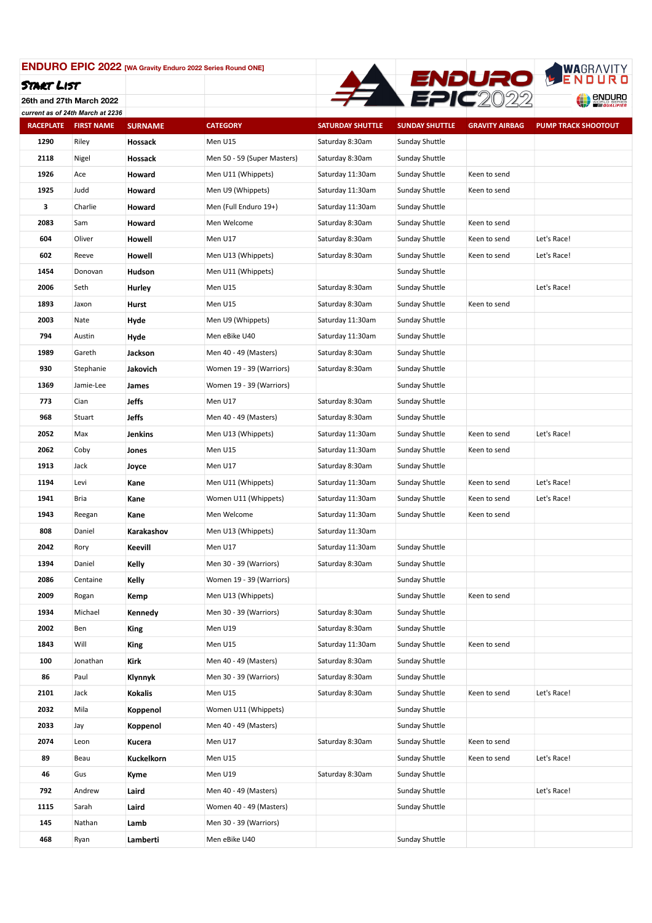

**26th and 27th March 2022** *current as of 24th March at 2236*

| <b>RACEPLATE</b> | <b>FIRST NAME</b> | <b>SURNAME</b> | <b>CATEGORY</b>             | <b>SATURDAY SHUTTLE</b> | <b>SUNDAY SHUTTLE</b> | <b>GRAVITY AIRBAG</b> | <b>PUMP TRACK SHOOTOUT</b> |
|------------------|-------------------|----------------|-----------------------------|-------------------------|-----------------------|-----------------------|----------------------------|
| 1290             | Riley             | Hossack        | Men U15                     | Saturday 8:30am         | Sunday Shuttle        |                       |                            |
| 2118             | Nigel             | Hossack        | Men 50 - 59 (Super Masters) | Saturday 8:30am         | Sunday Shuttle        |                       |                            |
| 1926             | Ace               | Howard         | Men U11 (Whippets)          | Saturday 11:30am        | Sunday Shuttle        | Keen to send          |                            |
| 1925             | Judd              | Howard         | Men U9 (Whippets)           | Saturday 11:30am        | Sunday Shuttle        | Keen to send          |                            |
| 3                | Charlie           | Howard         | Men (Full Enduro 19+)       | Saturday 11:30am        | Sunday Shuttle        |                       |                            |
| 2083             | Sam               | Howard         | Men Welcome                 | Saturday 8:30am         | Sunday Shuttle        | Keen to send          |                            |
| 604              | Oliver            | Howell         | Men U17                     | Saturday 8:30am         | Sunday Shuttle        | Keen to send          | Let's Race!                |
| 602              | Reeve             | Howell         | Men U13 (Whippets)          | Saturday 8:30am         | Sunday Shuttle        | Keen to send          | Let's Race!                |
| 1454             | Donovan           | Hudson         | Men U11 (Whippets)          |                         | Sunday Shuttle        |                       |                            |
| 2006             | Seth              | Hurley         | Men U15                     | Saturday 8:30am         | Sunday Shuttle        |                       | Let's Race!                |
| 1893             | Jaxon             | Hurst          | Men U15                     | Saturday 8:30am         | Sunday Shuttle        | Keen to send          |                            |
| 2003             | Nate              | Hyde           | Men U9 (Whippets)           | Saturday 11:30am        | Sunday Shuttle        |                       |                            |
| 794              | Austin            | Hyde           | Men eBike U40               | Saturday 11:30am        | Sunday Shuttle        |                       |                            |
| 1989             | Gareth            | Jackson        | Men 40 - 49 (Masters)       | Saturday 8:30am         | Sunday Shuttle        |                       |                            |
| 930              | Stephanie         | Jakovich       | Women 19 - 39 (Warriors)    | Saturday 8:30am         | Sunday Shuttle        |                       |                            |
| 1369             | Jamie-Lee         | James          | Women 19 - 39 (Warriors)    |                         | Sunday Shuttle        |                       |                            |
| 773              | Cian              | Jeffs          | Men U17                     | Saturday 8:30am         | Sunday Shuttle        |                       |                            |
| 968              | Stuart            | Jeffs          | Men 40 - 49 (Masters)       | Saturday 8:30am         | Sunday Shuttle        |                       |                            |
| 2052             | Max               | Jenkins        | Men U13 (Whippets)          | Saturday 11:30am        | Sunday Shuttle        | Keen to send          | Let's Race!                |
| 2062             | Coby              | Jones          | Men U15                     | Saturday 11:30am        | Sunday Shuttle        | Keen to send          |                            |
| 1913             | Jack              | Joyce          | Men U17                     | Saturday 8:30am         | Sunday Shuttle        |                       |                            |
| 1194             | Levi              | Kane           | Men U11 (Whippets)          | Saturday 11:30am        | Sunday Shuttle        | Keen to send          | Let's Race!                |
| 1941             | Bria              | Kane           | Women U11 (Whippets)        | Saturday 11:30am        | Sunday Shuttle        | Keen to send          | Let's Race!                |
| 1943             | Reegan            | Kane           | Men Welcome                 | Saturday 11:30am        | Sunday Shuttle        | Keen to send          |                            |
| 808              | Daniel            | Karakashov     | Men U13 (Whippets)          | Saturday 11:30am        |                       |                       |                            |
| 2042             | Rory              | Keevill        | Men U17                     | Saturday 11:30am        | Sunday Shuttle        |                       |                            |
| 1394             | Daniel            | Kelly          | Men 30 - 39 (Warriors)      | Saturday 8:30am         | Sunday Shuttle        |                       |                            |
| 2086             | Centaine          | Kelly          | Women 19 - 39 (Warriors)    |                         | Sunday Shuttle        |                       |                            |
| 2009             | Rogan             | Kemp           | Men U13 (Whippets)          |                         | Sunday Shuttle        | Keen to send          |                            |
| 1934             | Michael           | Kennedy        | Men 30 - 39 (Warriors)      | Saturday 8:30am         | Sunday Shuttle        |                       |                            |
| 2002             | Ben               | King           | Men U19                     | Saturday 8:30am         | Sunday Shuttle        |                       |                            |
| 1843             | Will              | King           | Men U15                     | Saturday 11:30am        | Sunday Shuttle        | Keen to send          |                            |
| 100              | Jonathan          | Kirk           | Men 40 - 49 (Masters)       | Saturday 8:30am         | Sunday Shuttle        |                       |                            |
| 86               | Paul              | Klynnyk        | Men 30 - 39 (Warriors)      | Saturday 8:30am         | Sunday Shuttle        |                       |                            |
| 2101             | Jack              | <b>Kokalis</b> | Men U15                     | Saturday 8:30am         | Sunday Shuttle        | Keen to send          | Let's Race!                |
| 2032             | Mila              | Koppenol       | Women U11 (Whippets)        |                         | Sunday Shuttle        |                       |                            |
| 2033             | Jay               | Koppenol       | Men 40 - 49 (Masters)       |                         | Sunday Shuttle        |                       |                            |
| 2074             | Leon              | Kucera         | Men U17                     | Saturday 8:30am         | Sunday Shuttle        | Keen to send          |                            |
| 89               | Beau              | Kuckelkorn     | Men U15                     |                         | Sunday Shuttle        | Keen to send          | Let's Race!                |
| 46               | Gus               | Kyme           | Men U19                     | Saturday 8:30am         | Sunday Shuttle        |                       |                            |
| 792              | Andrew            | Laird          | Men 40 - 49 (Masters)       |                         | Sunday Shuttle        |                       | Let's Race!                |
| 1115             | Sarah             | Laird          | Women 40 - 49 (Masters)     |                         | Sunday Shuttle        |                       |                            |
| 145              | Nathan            | Lamb           | Men 30 - 39 (Warriors)      |                         |                       |                       |                            |
| 468              | Ryan              | Lamberti       | Men eBike U40               |                         | Sunday Shuttle        |                       |                            |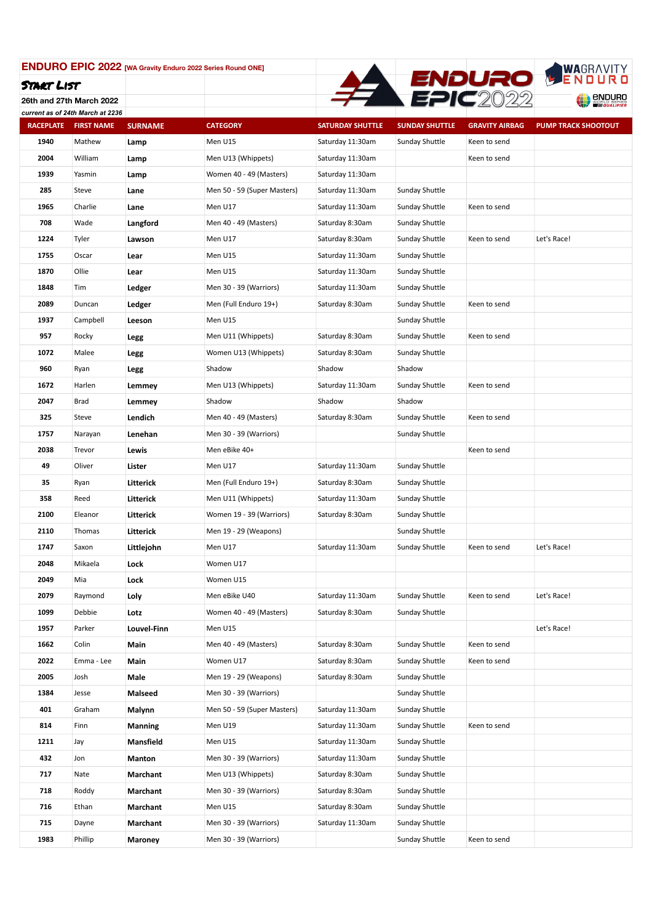

**26th and 27th March 2022** *current as of 24th March at 2236*

| Current as Or Z4th march at 2250<br><b>RACEPLATE</b> | <b>FIRST NAME</b> | <b>SURNAME</b>   | <b>CATEGORY</b>             | <b>SATURDAY SHUTTLE</b> | <b>SUNDAY SHUTTLE</b> | <b>GRAVITY AIRBAG</b> | <b>PUMP TRACK SHOOTOUT</b> |
|------------------------------------------------------|-------------------|------------------|-----------------------------|-------------------------|-----------------------|-----------------------|----------------------------|
| 1940                                                 | Mathew            | Lamp             | Men U15                     | Saturday 11:30am        | Sunday Shuttle        | Keen to send          |                            |
| 2004                                                 | William           | Lamp             | Men U13 (Whippets)          | Saturday 11:30am        |                       | Keen to send          |                            |
| 1939                                                 | Yasmin            | Lamp             | Women 40 - 49 (Masters)     | Saturday 11:30am        |                       |                       |                            |
| 285                                                  | Steve             | Lane             | Men 50 - 59 (Super Masters) | Saturday 11:30am        | Sunday Shuttle        |                       |                            |
| 1965                                                 | Charlie           | Lane             | Men U17                     | Saturday 11:30am        | Sunday Shuttle        | Keen to send          |                            |
| 708                                                  | Wade              | Langford         | Men 40 - 49 (Masters)       | Saturday 8:30am         | Sunday Shuttle        |                       |                            |
| 1224                                                 | Tyler             | Lawson           | Men U17                     | Saturday 8:30am         | Sunday Shuttle        | Keen to send          | Let's Race!                |
| 1755                                                 | Oscar             | Lear             | Men U15                     | Saturday 11:30am        | Sunday Shuttle        |                       |                            |
| 1870                                                 | Ollie             | Lear             | Men U15                     | Saturday 11:30am        | Sunday Shuttle        |                       |                            |
| 1848                                                 | Tim               | Ledger           | Men 30 - 39 (Warriors)      | Saturday 11:30am        | Sunday Shuttle        |                       |                            |
| 2089                                                 | Duncan            | Ledger           | Men (Full Enduro 19+)       | Saturday 8:30am         | Sunday Shuttle        | Keen to send          |                            |
| 1937                                                 | Campbell          | Leeson           | Men U15                     |                         | Sunday Shuttle        |                       |                            |
| 957                                                  | Rocky             | Legg             | Men U11 (Whippets)          | Saturday 8:30am         | Sunday Shuttle        | Keen to send          |                            |
| 1072                                                 | Malee             | Legg             | Women U13 (Whippets)        | Saturday 8:30am         | Sunday Shuttle        |                       |                            |
| 960                                                  | Ryan              | Legg             | Shadow                      | Shadow                  | Shadow                |                       |                            |
| 1672                                                 | Harlen            | Lemmey           | Men U13 (Whippets)          | Saturday 11:30am        | Sunday Shuttle        | Keen to send          |                            |
| 2047                                                 | Brad              | Lemmey           | Shadow                      | Shadow                  | Shadow                |                       |                            |
| 325                                                  | Steve             | Lendich          | Men 40 - 49 (Masters)       | Saturday 8:30am         | Sunday Shuttle        | Keen to send          |                            |
| 1757                                                 | Narayan           | Lenehan          | Men 30 - 39 (Warriors)      |                         | Sunday Shuttle        |                       |                            |
| 2038                                                 | Trevor            | Lewis            | Men eBike 40+               |                         |                       | Keen to send          |                            |
| 49                                                   | Oliver            | Lister           | Men U17                     | Saturday 11:30am        | Sunday Shuttle        |                       |                            |
| 35                                                   | Ryan              | Litterick        | Men (Full Enduro 19+)       | Saturday 8:30am         | Sunday Shuttle        |                       |                            |
| 358                                                  | Reed              | Litterick        | Men U11 (Whippets)          | Saturday 11:30am        | Sunday Shuttle        |                       |                            |
| 2100                                                 | Eleanor           | Litterick        | Women 19 - 39 (Warriors)    | Saturday 8:30am         | Sunday Shuttle        |                       |                            |
| 2110                                                 | Thomas            | Litterick        | Men 19 - 29 (Weapons)       |                         | Sunday Shuttle        |                       |                            |
| 1747                                                 | Saxon             | Littlejohn       | Men U17                     | Saturday 11:30am        | Sunday Shuttle        | Keen to send          | Let's Race!                |
| 2048                                                 | Mikaela           | Lock             | Women U17                   |                         |                       |                       |                            |
| 2049                                                 | Mia               | Lock             | Women U15                   |                         |                       |                       |                            |
| 2079                                                 | Raymond           | Loly             | Men eBike U40               | Saturday 11:30am        | Sunday Shuttle        | Keen to send          | Let's Race!                |
| 1099                                                 | Debbie            | Lotz             | Women 40 - 49 (Masters)     | Saturday 8:30am         | Sunday Shuttle        |                       |                            |
| 1957                                                 | Parker            | Louvel-Finn      | Men U15                     |                         |                       |                       | Let's Race!                |
| 1662                                                 | Colin             | Main             | Men 40 - 49 (Masters)       | Saturday 8:30am         | Sunday Shuttle        | Keen to send          |                            |
| 2022                                                 | Emma - Lee        | Main             | Women U17                   | Saturday 8:30am         | Sunday Shuttle        | Keen to send          |                            |
| 2005                                                 | Josh              | Male             | Men 19 - 29 (Weapons)       | Saturday 8:30am         | Sunday Shuttle        |                       |                            |
| 1384                                                 | Jesse             | Malseed          | Men 30 - 39 (Warriors)      |                         | Sunday Shuttle        |                       |                            |
| 401                                                  | Graham            | Malynn           | Men 50 - 59 (Super Masters) | Saturday 11:30am        | Sunday Shuttle        |                       |                            |
| 814                                                  | Finn              | Manning          | Men U19                     | Saturday 11:30am        | Sunday Shuttle        | Keen to send          |                            |
| 1211                                                 | Jay               | <b>Mansfield</b> | Men U15                     | Saturday 11:30am        | Sunday Shuttle        |                       |                            |
| 432                                                  | Jon               | Manton           | Men 30 - 39 (Warriors)      | Saturday 11:30am        | Sunday Shuttle        |                       |                            |
| 717                                                  | Nate              | Marchant         | Men U13 (Whippets)          | Saturday 8:30am         | Sunday Shuttle        |                       |                            |
| 718                                                  | Roddy             | Marchant         | Men 30 - 39 (Warriors)      | Saturday 8:30am         | Sunday Shuttle        |                       |                            |
| 716                                                  | Ethan             | Marchant         | Men U15                     | Saturday 8:30am         | Sunday Shuttle        |                       |                            |
| 715                                                  | Dayne             | Marchant         | Men 30 - 39 (Warriors)      | Saturday 11:30am        | Sunday Shuttle        |                       |                            |
| 1983                                                 | Phillip           | Maroney          | Men 30 - 39 (Warriors)      |                         | Sunday Shuttle        | Keen to send          |                            |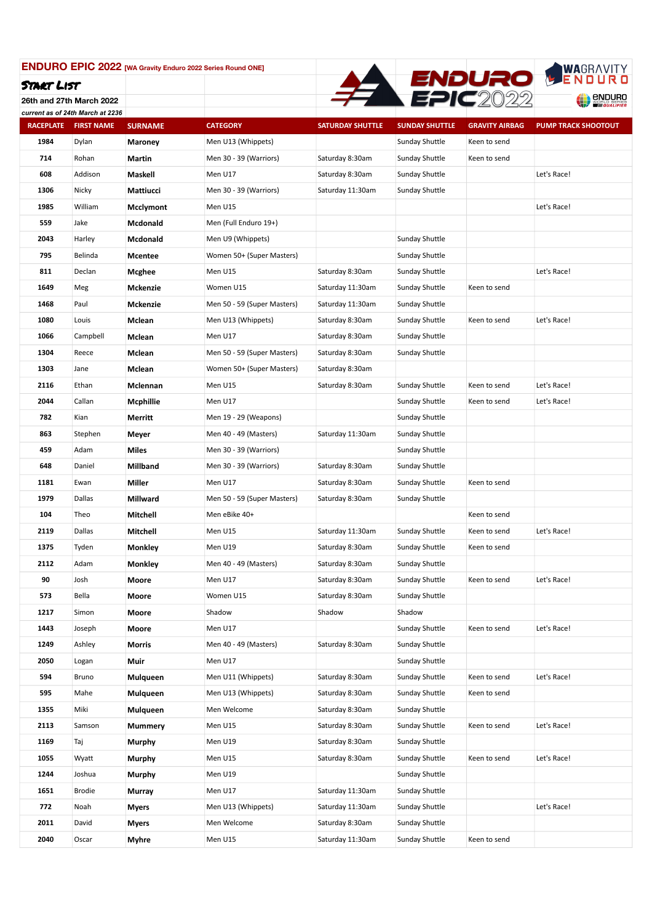

**26th and 27th March 2022** *current as of 24th March at 2236*

| <b>RACEPLATE</b> | <b>FIRST NAME</b> | <b>SURNAME</b>   | <b>CATEGORY</b>             | <b>SATURDAY SHUTTLE</b> | <b>SUNDAY SHUTTLE</b> | <b>GRAVITY AIRBAG</b> | <b>PUMP TRACK SHOOTOUT</b> |
|------------------|-------------------|------------------|-----------------------------|-------------------------|-----------------------|-----------------------|----------------------------|
| 1984             | Dylan             | Maroney          | Men U13 (Whippets)          |                         | Sunday Shuttle        | Keen to send          |                            |
| 714              | Rohan             | Martin           | Men 30 - 39 (Warriors)      | Saturday 8:30am         | Sunday Shuttle        | Keen to send          |                            |
| 608              | Addison           | Maskell          | Men U17                     | Saturday 8:30am         | Sunday Shuttle        |                       | Let's Race!                |
| 1306             | Nicky             | Mattiucci        | Men 30 - 39 (Warriors)      | Saturday 11:30am        | Sunday Shuttle        |                       |                            |
| 1985             | William           | <b>Mcclymont</b> | Men U15                     |                         |                       |                       | Let's Race!                |
| 559              | Jake              | Mcdonald         | Men (Full Enduro 19+)       |                         |                       |                       |                            |
| 2043             | Harley            | Mcdonald         | Men U9 (Whippets)           |                         | <b>Sunday Shuttle</b> |                       |                            |
| 795              | Belinda           | <b>Mcentee</b>   | Women 50+ (Super Masters)   |                         | Sunday Shuttle        |                       |                            |
| 811              | Declan            | Mcghee           | Men U15                     | Saturday 8:30am         | Sunday Shuttle        |                       | Let's Race!                |
| 1649             | Meg               | Mckenzie         | Women U15                   | Saturday 11:30am        | Sunday Shuttle        | Keen to send          |                            |
| 1468             | Paul              | <b>Mckenzie</b>  | Men 50 - 59 (Super Masters) | Saturday 11:30am        | Sunday Shuttle        |                       |                            |
| 1080             | Louis             | Mclean           | Men U13 (Whippets)          | Saturday 8:30am         | Sunday Shuttle        | Keen to send          | Let's Race!                |
| 1066             | Campbell          | Mclean           | Men U17                     | Saturday 8:30am         | Sunday Shuttle        |                       |                            |
| 1304             | Reece             | Mclean           | Men 50 - 59 (Super Masters) | Saturday 8:30am         | Sunday Shuttle        |                       |                            |
| 1303             | Jane              | Mclean           | Women 50+ (Super Masters)   | Saturday 8:30am         |                       |                       |                            |
| 2116             | Ethan             | Mclennan         | Men U15                     | Saturday 8:30am         | Sunday Shuttle        | Keen to send          | Let's Race!                |
| 2044             | Callan            | Mcphillie        | Men U17                     |                         | Sunday Shuttle        | Keen to send          | Let's Race!                |
| 782              | Kian              | Merritt          | Men 19 - 29 (Weapons)       |                         | Sunday Shuttle        |                       |                            |
| 863              | Stephen           | Meyer            | Men 40 - 49 (Masters)       | Saturday 11:30am        | Sunday Shuttle        |                       |                            |
| 459              | Adam              | <b>Miles</b>     | Men 30 - 39 (Warriors)      |                         | Sunday Shuttle        |                       |                            |
| 648              | Daniel            | Millband         | Men 30 - 39 (Warriors)      | Saturday 8:30am         | Sunday Shuttle        |                       |                            |
| 1181             | Ewan              | Miller           | Men U17                     | Saturday 8:30am         | Sunday Shuttle        | Keen to send          |                            |
| 1979             | Dallas            | <b>Millward</b>  | Men 50 - 59 (Super Masters) | Saturday 8:30am         | Sunday Shuttle        |                       |                            |
| 104              | Theo              | Mitchell         | Men eBike 40+               |                         |                       | Keen to send          |                            |
| 2119             | Dallas            | Mitchell         | Men U15                     | Saturday 11:30am        | Sunday Shuttle        | Keen to send          | Let's Race!                |
| 1375             | Tyden             | <b>Monkley</b>   | Men U19                     | Saturday 8:30am         | Sunday Shuttle        | Keen to send          |                            |
| 2112             | Adam              | <b>Monkley</b>   | Men 40 - 49 (Masters)       | Saturday 8:30am         | Sunday Shuttle        |                       |                            |
| 90               | Josh              | Moore            | Men U17                     | Saturday 8:30am         | Sunday Shuttle        | Keen to send          | Let's Race!                |
| 573              | Bella             | Moore            | Women U15                   | Saturday 8:30am         | Sunday Shuttle        |                       |                            |
| 1217             | Simon             | Moore            | Shadow                      | Shadow                  | Shadow                |                       |                            |
| 1443             | Joseph            | Moore            | Men U17                     |                         | Sunday Shuttle        | Keen to send          | Let's Race!                |
| 1249             | Ashley            | Morris           | Men 40 - 49 (Masters)       | Saturday 8:30am         | Sunday Shuttle        |                       |                            |
| 2050             | Logan             | Muir             | Men U17                     |                         | Sunday Shuttle        |                       |                            |
| 594              | Bruno             | Mulqueen         | Men U11 (Whippets)          | Saturday 8:30am         | Sunday Shuttle        | Keen to send          | Let's Race!                |
| 595              | Mahe              | Mulqueen         | Men U13 (Whippets)          | Saturday 8:30am         | Sunday Shuttle        | Keen to send          |                            |
| 1355             | Miki              | Mulqueen         | Men Welcome                 | Saturday 8:30am         | Sunday Shuttle        |                       |                            |
| 2113             | Samson            | <b>Mummery</b>   | Men U15                     | Saturday 8:30am         | Sunday Shuttle        | Keen to send          | Let's Race!                |
| 1169             | Taj               | Murphy           | Men U19                     | Saturday 8:30am         | Sunday Shuttle        |                       |                            |
| 1055             | Wyatt             | Murphy           | Men U15                     | Saturday 8:30am         | Sunday Shuttle        | Keen to send          | Let's Race!                |
| 1244             | Joshua            | Murphy           | Men U19                     |                         | Sunday Shuttle        |                       |                            |
| 1651             | <b>Brodie</b>     | Murray           | Men U17                     | Saturday 11:30am        | Sunday Shuttle        |                       |                            |
| 772              | Noah              | Myers            | Men U13 (Whippets)          | Saturday 11:30am        | Sunday Shuttle        |                       | Let's Race!                |
| 2011             | David             | Myers            | Men Welcome                 | Saturday 8:30am         | Sunday Shuttle        |                       |                            |
| 2040             | Oscar             | Myhre            | Men U15                     | Saturday 11:30am        | Sunday Shuttle        | Keen to send          |                            |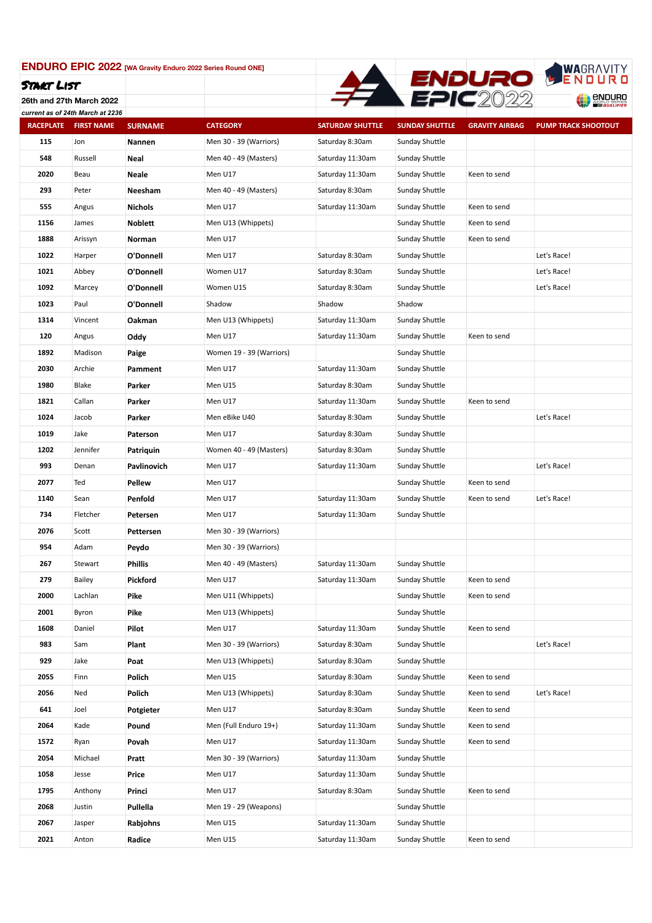

**26th and 27th March 2022**

|                  | current as of 24th March at 2236 |                |                                   |                                      |                                  |                       |                            |
|------------------|----------------------------------|----------------|-----------------------------------|--------------------------------------|----------------------------------|-----------------------|----------------------------|
| <b>RACEPLATE</b> | <b>FIRST NAME</b>                | <b>SURNAME</b> | <b>CATEGORY</b>                   | <b>SATURDAY SHUTTLE</b>              | <b>SUNDAY SHUTTLE</b>            | <b>GRAVITY AIRBAG</b> | <b>PUMP TRACK SHOOTOUT</b> |
| 115              | Jon                              | Nannen         | Men 30 - 39 (Warriors)            | Saturday 8:30am                      | Sunday Shuttle                   |                       |                            |
| 548              | Russell                          | Neal           | Men 40 - 49 (Masters)             | Saturday 11:30am                     | Sunday Shuttle                   |                       |                            |
| 2020             | Beau                             | Neale          | Men U17                           | Saturday 11:30am                     | Sunday Shuttle                   | Keen to send          |                            |
| 293              | Peter                            | Neesham        | Men 40 - 49 (Masters)             | Saturday 8:30am                      | Sunday Shuttle                   |                       |                            |
| 555              | Angus                            | <b>Nichols</b> | Men U17                           | Saturday 11:30am                     | Sunday Shuttle                   | Keen to send          |                            |
| 1156             | James                            | <b>Noblett</b> | Men U13 (Whippets)                |                                      | Sunday Shuttle                   | Keen to send          |                            |
| 1888             | Arissyn                          | Norman         | Men U17                           |                                      | Sunday Shuttle                   | Keen to send          |                            |
| 1022             | Harper                           | O'Donnell      | Men U17                           | Saturday 8:30am                      | Sunday Shuttle                   |                       | Let's Race!                |
| 1021             | Abbey                            | O'Donnell      | Women U17                         | Saturday 8:30am                      | Sunday Shuttle                   |                       | Let's Race!                |
| 1092             | Marcey                           | O'Donnell      | Women U15                         | Saturday 8:30am                      | Sunday Shuttle                   |                       | Let's Race!                |
| 1023             | Paul                             | O'Donnell      | Shadow                            | Shadow                               | Shadow                           |                       |                            |
| 1314             | Vincent                          | Oakman         | Men U13 (Whippets)                | Saturday 11:30am                     | Sunday Shuttle                   |                       |                            |
| 120              | Angus                            | Oddy           | Men U17                           | Saturday 11:30am                     | Sunday Shuttle                   | Keen to send          |                            |
| 1892             | Madison                          | Paige          | Women 19 - 39 (Warriors)          |                                      | Sunday Shuttle                   |                       |                            |
| 2030             | Archie                           | Pamment        | Men U17                           | Saturday 11:30am                     | Sunday Shuttle                   |                       |                            |
| 1980             | Blake                            | Parker         | Men U15                           | Saturday 8:30am                      | Sunday Shuttle                   |                       |                            |
| 1821             | Callan                           | Parker         | Men U17                           | Saturday 11:30am                     | Sunday Shuttle                   | Keen to send          |                            |
| 1024             | Jacob                            | Parker         | Men eBike U40                     | Saturday 8:30am                      | Sunday Shuttle                   |                       | Let's Race!                |
| 1019             | Jake                             | Paterson       | Men U17                           | Saturday 8:30am                      | Sunday Shuttle                   |                       |                            |
| 1202             | Jennifer                         | Patriquin      | Women 40 - 49 (Masters)           | Saturday 8:30am                      | Sunday Shuttle                   |                       |                            |
| 993              | Denan                            | Pavlinovich    | Men U17                           | Saturday 11:30am                     | Sunday Shuttle                   |                       | Let's Race!                |
| 2077             | Ted                              | Pellew         | Men U17                           |                                      | Sunday Shuttle                   | Keen to send          |                            |
| 1140             | Sean                             | Penfold        | Men U17                           | Saturday 11:30am                     | Sunday Shuttle                   | Keen to send          | Let's Race!                |
| 734              | Fletcher                         | Petersen       | Men U17                           | Saturday 11:30am                     | Sunday Shuttle                   |                       |                            |
| 2076             | Scott                            | Pettersen      | Men 30 - 39 (Warriors)            |                                      |                                  |                       |                            |
| 954              | Adam                             |                | Men 30 - 39 (Warriors)            |                                      |                                  |                       |                            |
| 267              | Stewart                          | Peydo          |                                   |                                      |                                  |                       |                            |
| 279              | <b>Bailey</b>                    | Phillis        | Men 40 - 49 (Masters)<br>Men U17  | Saturday 11:30am<br>Saturday 11:30am | Sunday Shuttle<br>Sunday Shuttle | Keen to send          |                            |
| 2000             | Lachlan                          | Pickford       | Men U11 (Whippets)                |                                      | Sunday Shuttle                   | Keen to send          |                            |
|                  |                                  | Pike           |                                   |                                      |                                  |                       |                            |
| 2001             | Byron                            | Pike           | Men U13 (Whippets)                |                                      | Sunday Shuttle                   |                       |                            |
| 1608             | Daniel                           | Pilot          | Men U17<br>Men 30 - 39 (Warriors) | Saturday 11:30am                     | Sunday Shuttle                   | Keen to send          |                            |
| 983              | Sam                              | Plant          |                                   | Saturday 8:30am                      | Sunday Shuttle                   |                       | Let's Race!                |
| 929              | Jake                             | Poat           | Men U13 (Whippets)                | Saturday 8:30am                      | Sunday Shuttle                   |                       |                            |
| 2055             | Finn                             | Polich         | Men U15                           | Saturday 8:30am                      | Sunday Shuttle                   | Keen to send          |                            |
| 2056             | Ned                              | Polich         | Men U13 (Whippets)                | Saturday 8:30am                      | Sunday Shuttle                   | Keen to send          | Let's Race!                |
| 641              | Joel                             | Potgieter      | Men U17                           | Saturday 8:30am                      | Sunday Shuttle                   | Keen to send          |                            |
| 2064             | Kade                             | Pound          | Men (Full Enduro 19+)             | Saturday 11:30am                     | Sunday Shuttle                   | Keen to send          |                            |
| 1572             | Ryan                             | Povah          | Men U17                           | Saturday 11:30am                     | Sunday Shuttle                   | Keen to send          |                            |
| 2054             | Michael                          | Pratt          | Men 30 - 39 (Warriors)            | Saturday 11:30am                     | Sunday Shuttle                   |                       |                            |
| 1058             | Jesse                            | Price          | Men U17                           | Saturday 11:30am                     | Sunday Shuttle                   |                       |                            |
| 1795             | Anthony                          | Princi         | Men U17                           | Saturday 8:30am                      | Sunday Shuttle                   | Keen to send          |                            |
| 2068             | Justin                           | Pullella       | Men 19 - 29 (Weapons)             |                                      | Sunday Shuttle                   |                       |                            |
| 2067             | Jasper                           | Rabjohns       | Men U15                           | Saturday 11:30am                     | Sunday Shuttle                   |                       |                            |
| 2021             | Anton                            | Radice         | Men U15                           | Saturday 11:30am                     | Sunday Shuttle                   | Keen to send          |                            |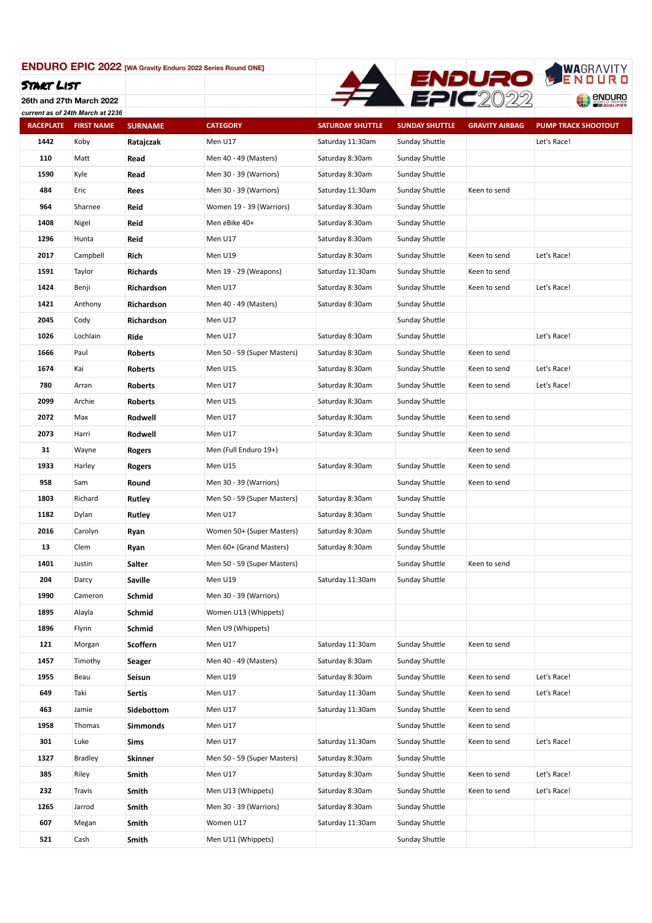

**26th and 27th March 2022** *current as of 24th March at 2236*

| <b>RACEPLATE</b> | <b>FIRST NAME</b> | <b>SURNAME</b>  | <b>CATEGORY</b>             | <b>SATURDAY SHUTTLE</b> | <b>SUNDAY SHUTTLE</b> | <b>GRAVITY AIRBAG</b> | <b>PUMP TRACK SHOOTOUT</b> |
|------------------|-------------------|-----------------|-----------------------------|-------------------------|-----------------------|-----------------------|----------------------------|
| 1442             | Koby              | Ratajczak       | Men U17                     | Saturday 11:30am        | Sunday Shuttle        |                       | Let's Race!                |
| 110              | Matt              | Read            | Men 40 - 49 (Masters)       | Saturday 8:30am         | Sunday Shuttle        |                       |                            |
| 1590             | Kyle              | Read            | Men 30 - 39 (Warriors)      | Saturday 8:30am         | Sunday Shuttle        |                       |                            |
| 484              | Eric              | Rees            | Men 30 - 39 (Warriors)      | Saturday 11:30am        | Sunday Shuttle        | Keen to send          |                            |
| 964              | Sharnee           | Reid            | Women 19 - 39 (Warriors)    | Saturday 8:30am         | Sunday Shuttle        |                       |                            |
| 1408             | Nigel             | Reid            | Men eBike 40+               | Saturday 8:30am         | Sunday Shuttle        |                       |                            |
| 1296             | Hunta             | Reid            | Men U17                     | Saturday 8:30am         | Sunday Shuttle        |                       |                            |
| 2017             | Campbell          | Rich            | Men U19                     | Saturday 8:30am         | Sunday Shuttle        | Keen to send          | Let's Race!                |
| 1591             | Taylor            | <b>Richards</b> | Men 19 - 29 (Weapons)       | Saturday 11:30am        | Sunday Shuttle        | Keen to send          |                            |
| 1424             | Benji             | Richardson      | Men U17                     | Saturday 8:30am         | Sunday Shuttle        | Keen to send          | Let's Race!                |
| 1421             | Anthony           | Richardson      | Men 40 - 49 (Masters)       | Saturday 8:30am         | Sunday Shuttle        |                       |                            |
| 2045             | Cody              | Richardson      | Men U17                     |                         | Sunday Shuttle        |                       |                            |
| 1026             | Lochlain          | Ride            | Men U17                     | Saturday 8:30am         | Sunday Shuttle        |                       | Let's Race!                |
| 1666             | Paul              | <b>Roberts</b>  | Men 50 - 59 (Super Masters) | Saturday 8:30am         | Sunday Shuttle        | Keen to send          |                            |
| 1674             | Kai               | <b>Roberts</b>  | Men U15                     | Saturday 8:30am         | Sunday Shuttle        | Keen to send          | Let's Race!                |
| 780              | Arran             | <b>Roberts</b>  | Men U17                     | Saturday 8:30am         | Sunday Shuttle        | Keen to send          | Let's Race!                |
| 2099             | Archie            | <b>Roberts</b>  | Men U15                     | Saturday 8:30am         | Sunday Shuttle        |                       |                            |
| 2072             | Max               | Rodwell         | Men U17                     | Saturday 8:30am         | Sunday Shuttle        | Keen to send          |                            |
| 2073             | Harri             | Rodwell         | Men U17                     | Saturday 8:30am         | Sunday Shuttle        | Keen to send          |                            |
| 31               | Wayne             | Rogers          | Men (Full Enduro 19+)       |                         |                       | Keen to send          |                            |
| 1933             | Harley            | Rogers          | Men U15                     | Saturday 8:30am         | Sunday Shuttle        | Keen to send          |                            |
| 958              | Sam               | Round           | Men 30 - 39 (Warriors)      |                         | Sunday Shuttle        | Keen to send          |                            |
| 1803             | Richard           | Rutley          | Men 50 - 59 (Super Masters) | Saturday 8:30am         | Sunday Shuttle        |                       |                            |
| 1182             | Dylan             | Rutley          | Men U17                     | Saturday 8:30am         | Sunday Shuttle        |                       |                            |
| 2016             | Carolyn           | Ryan            | Women 50+ (Super Masters)   | Saturday 8:30am         | Sunday Shuttle        |                       |                            |
| 13               | Clem              | Ryan            | Men 60+ (Grand Masters)     | Saturday 8:30am         | Sunday Shuttle        |                       |                            |
| 1401             | Justin            | Salter          | Men 50 - 59 (Super Masters) |                         | Sunday Shuttle        | Keen to send          |                            |
| 204              | Darcy             | Saville         | Men U19                     | Saturday 11:30am        | Sunday Shuttle        |                       |                            |
| 1990             | Cameron           | Schmid          | Men 30 - 39 (Warriors)      |                         |                       |                       |                            |
| 1895             | Alayla            | Schmid          | Women U13 (Whippets)        |                         |                       |                       |                            |
| 1896             | Flynn             | Schmid          | Men U9 (Whippets)           |                         |                       |                       |                            |
| 121              | Morgan            | Scoffern        | Men U17                     | Saturday 11:30am        | Sunday Shuttle        | Keen to send          |                            |
| 1457             | Timothy           | Seager          | Men 40 - 49 (Masters)       | Saturday 8:30am         | Sunday Shuttle        |                       |                            |
| 1955             | Beau              | Seisun          | Men U19                     | Saturday 8:30am         | Sunday Shuttle        | Keen to send          | Let's Race!                |
| 649              | Taki              | Sertis          | Men U17                     | Saturday 11:30am        | Sunday Shuttle        | Keen to send          | Let's Race!                |
| 463              | Jamie             | Sidebottom      | Men U17                     | Saturday 11:30am        | Sunday Shuttle        | Keen to send          |                            |
| 1958             | Thomas            | Simmonds        | Men U17                     |                         | Sunday Shuttle        | Keen to send          |                            |
| 301              | Luke              | Sims            | Men U17                     | Saturday 11:30am        | Sunday Shuttle        | Keen to send          | Let's Race!                |
| 1327             | <b>Bradley</b>    | Skinner         | Men 50 - 59 (Super Masters) | Saturday 8:30am         | Sunday Shuttle        |                       |                            |
| 385              | Riley             | Smith           | Men U17                     | Saturday 8:30am         | Sunday Shuttle        | Keen to send          | Let's Race!                |
| 232              | Travis            | Smith           | Men U13 (Whippets)          | Saturday 8:30am         | Sunday Shuttle        | Keen to send          | Let's Race!                |
| 1265             | Jarrod            | Smith           | Men 30 - 39 (Warriors)      | Saturday 8:30am         | Sunday Shuttle        |                       |                            |
| 607              | Megan             | Smith           | Women U17                   | Saturday 11:30am        | Sunday Shuttle        |                       |                            |
| 521              | Cash              | Smith           | Men U11 (Whippets)          |                         | Sunday Shuttle        |                       |                            |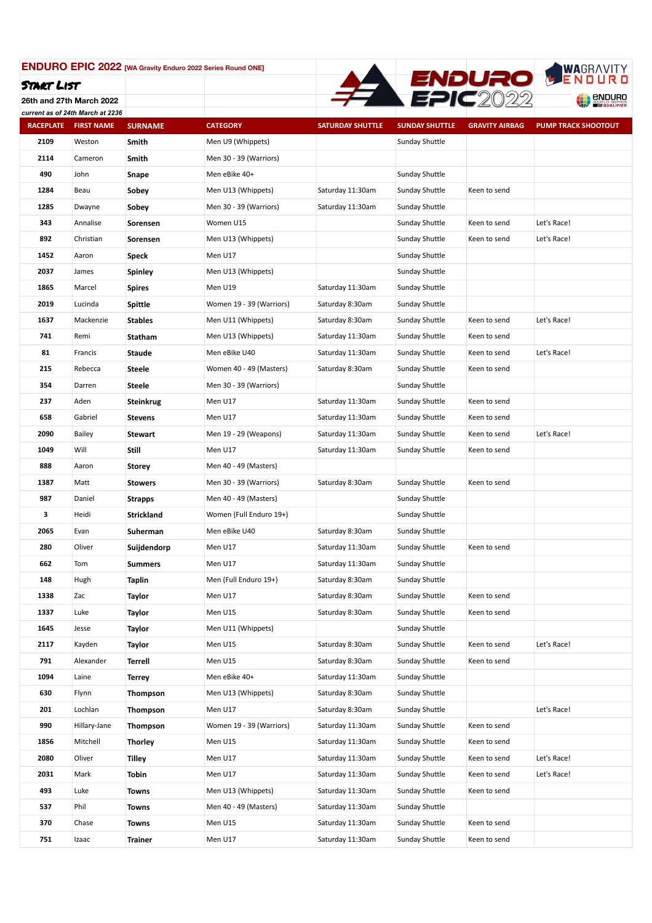

**26th and 27th March 2022** *current as of 24th March at 2236*

| <b>RACEPLATE</b> | <b>FIRST NAME</b> | <b>SURNAME</b>    | <b>CATEGORY</b>          | <b>SATURDAY SHUTTLE</b> | <b>SUNDAY SHUTTLE</b> | <b>GRAVITY AIRBAG</b> | <b>PUMP TRACK SHOOTOUT</b> |
|------------------|-------------------|-------------------|--------------------------|-------------------------|-----------------------|-----------------------|----------------------------|
| 2109             | Weston            | Smith             | Men U9 (Whippets)        |                         | Sunday Shuttle        |                       |                            |
| 2114             | Cameron           | Smith             | Men 30 - 39 (Warriors)   |                         |                       |                       |                            |
| 490              | John              | Snape             | Men eBike 40+            |                         | Sunday Shuttle        |                       |                            |
| 1284             | Beau              | Sobey             | Men U13 (Whippets)       | Saturday 11:30am        | Sunday Shuttle        | Keen to send          |                            |
| 1285             | Dwayne            | Sobey             | Men 30 - 39 (Warriors)   | Saturday 11:30am        | Sunday Shuttle        |                       |                            |
| 343              | Annalise          | Sorensen          | Women U15                |                         | Sunday Shuttle        | Keen to send          | Let's Race!                |
| 892              | Christian         | Sorensen          | Men U13 (Whippets)       |                         | Sunday Shuttle        | Keen to send          | Let's Race!                |
| 1452             | Aaron             | Speck             | Men U17                  |                         | Sunday Shuttle        |                       |                            |
| 2037             | James             | Spinley           | Men U13 (Whippets)       |                         | Sunday Shuttle        |                       |                            |
| 1865             | Marcel            | <b>Spires</b>     | Men U19                  | Saturday 11:30am        | Sunday Shuttle        |                       |                            |
| 2019             | Lucinda           | Spittle           | Women 19 - 39 (Warriors) | Saturday 8:30am         | Sunday Shuttle        |                       |                            |
| 1637             | Mackenzie         | <b>Stables</b>    | Men U11 (Whippets)       | Saturday 8:30am         | Sunday Shuttle        | Keen to send          | Let's Race!                |
| 741              | Remi              | <b>Statham</b>    | Men U13 (Whippets)       | Saturday 11:30am        | Sunday Shuttle        | Keen to send          |                            |
| 81               | Francis           | <b>Staude</b>     | Men eBike U40            | Saturday 11:30am        | Sunday Shuttle        | Keen to send          | Let's Race!                |
| 215              | Rebecca           | Steele            | Women 40 - 49 (Masters)  | Saturday 8:30am         | Sunday Shuttle        | Keen to send          |                            |
| 354              | Darren            | <b>Steele</b>     | Men 30 - 39 (Warriors)   |                         | Sunday Shuttle        |                       |                            |
| 237              | Aden              | <b>Steinkrug</b>  | Men U17                  | Saturday 11:30am        | Sunday Shuttle        | Keen to send          |                            |
| 658              | Gabriel           | <b>Stevens</b>    | Men U17                  | Saturday 11:30am        | Sunday Shuttle        | Keen to send          |                            |
| 2090             | <b>Bailey</b>     | Stewart           | Men 19 - 29 (Weapons)    | Saturday 11:30am        | Sunday Shuttle        | Keen to send          | Let's Race!                |
| 1049             | Will              | <b>Still</b>      | Men U17                  | Saturday 11:30am        | Sunday Shuttle        | Keen to send          |                            |
| 888              | Aaron             | <b>Storey</b>     | Men 40 - 49 (Masters)    |                         |                       |                       |                            |
| 1387             | Matt              | <b>Stowers</b>    | Men 30 - 39 (Warriors)   | Saturday 8:30am         | Sunday Shuttle        | Keen to send          |                            |
| 987              | Daniel            | <b>Strapps</b>    | Men 40 - 49 (Masters)    |                         | Sunday Shuttle        |                       |                            |
| 3                | Heidi             | <b>Strickland</b> | Women (Full Enduro 19+)  |                         | Sunday Shuttle        |                       |                            |
| 2065             | Evan              | Suherman          | Men eBike U40            | Saturday 8:30am         | Sunday Shuttle        |                       |                            |
| 280              | Oliver            | Suijdendorp       | Men U17                  | Saturday 11:30am        | Sunday Shuttle        | Keen to send          |                            |
| 662              | Tom               | <b>Summers</b>    | Men U17                  | Saturday 11:30am        | Sunday Shuttle        |                       |                            |
| 148              | Hugh              | Taplin            | Men (Full Enduro 19+)    | Saturday 8:30am         | Sunday Shuttle        |                       |                            |
| 1338             | Zac               | Taylor            | Men U17                  | Saturday 8:30am         | Sunday Shuttle        | Keen to send          |                            |
| 1337             | Luke              | Taylor            | Men U15                  | Saturday 8:30am         | Sunday Shuttle        | Keen to send          |                            |
| 1645             | Jesse             | Taylor            | Men U11 (Whippets)       |                         | Sunday Shuttle        |                       |                            |
| 2117             | Kayden            | Taylor            | Men U15                  | Saturday 8:30am         | Sunday Shuttle        | Keen to send          | Let's Race!                |
| 791              | Alexander         | Terrell           | Men U15                  | Saturday 8:30am         | Sunday Shuttle        | Keen to send          |                            |
| 1094             | Laine             | Terrey            | Men eBike 40+            | Saturday 11:30am        | Sunday Shuttle        |                       |                            |
| 630              | Flynn             | Thompson          | Men U13 (Whippets)       | Saturday 8:30am         | Sunday Shuttle        |                       |                            |
| 201              | Lochlan           | <b>Thompson</b>   | Men U17                  | Saturday 8:30am         | Sunday Shuttle        |                       | Let's Race!                |
| 990              | Hillary-Jane      | Thompson          | Women 19 - 39 (Warriors) | Saturday 11:30am        | Sunday Shuttle        | Keen to send          |                            |
| 1856             | Mitchell          | <b>Thorley</b>    | Men U15                  | Saturday 11:30am        | Sunday Shuttle        | Keen to send          |                            |
| 2080             | Oliver            | Tilley            | Men U17                  | Saturday 11:30am        | Sunday Shuttle        | Keen to send          | Let's Race!                |
| 2031             | Mark              | Tobin             | Men U17                  | Saturday 11:30am        | Sunday Shuttle        | Keen to send          | Let's Race!                |
| 493              | Luke              | Towns             | Men U13 (Whippets)       | Saturday 11:30am        | Sunday Shuttle        | Keen to send          |                            |
| 537              | Phil              | Towns             | Men 40 - 49 (Masters)    | Saturday 11:30am        | Sunday Shuttle        |                       |                            |
| 370              | Chase             | Towns             | Men U15                  | Saturday 11:30am        | Sunday Shuttle        | Keen to send          |                            |
| 751              | Izaac             | Trainer           | Men U17                  | Saturday 11:30am        | Sunday Shuttle        | Keen to send          |                            |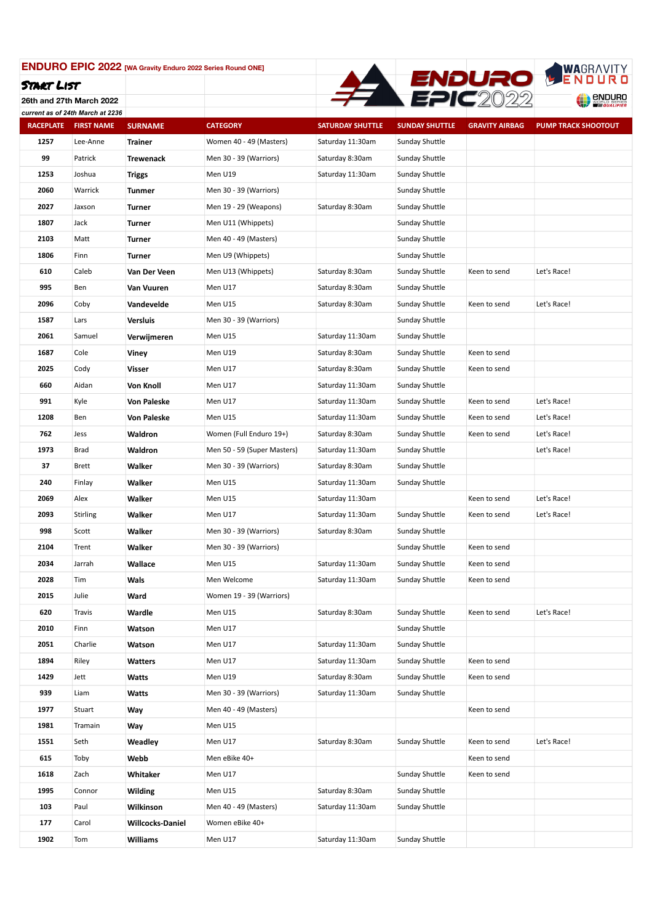

**26th and 27th March 2022** *current as of 24th March at 2236*

| <b>RACEPLATE</b> | carrent as or z <del>u</del> trimarch at zzoo<br><b>FIRST NAME</b> | <b>SURNAME</b>          | <b>CATEGORY</b>             | <b>SATURDAY SHUTTLE</b> | <b>SUNDAY SHUTTLE</b> | <b>GRAVITY AIRBAG</b> | <b>PUMP TRACK SHOOTOUT</b> |
|------------------|--------------------------------------------------------------------|-------------------------|-----------------------------|-------------------------|-----------------------|-----------------------|----------------------------|
| 1257             | Lee-Anne                                                           | Trainer                 | Women 40 - 49 (Masters)     | Saturday 11:30am        | Sunday Shuttle        |                       |                            |
| 99               | Patrick                                                            | <b>Trewenack</b>        | Men 30 - 39 (Warriors)      | Saturday 8:30am         | Sunday Shuttle        |                       |                            |
| 1253             | Joshua                                                             | Triggs                  | Men U19                     | Saturday 11:30am        | Sunday Shuttle        |                       |                            |
| 2060             | Warrick                                                            | Tunmer                  | Men 30 - 39 (Warriors)      |                         | Sunday Shuttle        |                       |                            |
| 2027             | Jaxson                                                             | Turner                  | Men 19 - 29 (Weapons)       | Saturday 8:30am         | Sunday Shuttle        |                       |                            |
| 1807             | Jack                                                               | <b>Turner</b>           | Men U11 (Whippets)          |                         | Sunday Shuttle        |                       |                            |
| 2103             | Matt                                                               | Turner                  | Men 40 - 49 (Masters)       |                         | Sunday Shuttle        |                       |                            |
| 1806             | Finn                                                               | Turner                  | Men U9 (Whippets)           |                         | Sunday Shuttle        |                       |                            |
| 610              | Caleb                                                              | Van Der Veen            | Men U13 (Whippets)          | Saturday 8:30am         | Sunday Shuttle        | Keen to send          | Let's Race!                |
| 995              | Ben                                                                | Van Vuuren              | Men U17                     | Saturday 8:30am         | Sunday Shuttle        |                       |                            |
| 2096             | Coby                                                               | Vandevelde              | Men U15                     | Saturday 8:30am         | Sunday Shuttle        | Keen to send          | Let's Race!                |
| 1587             | Lars                                                               | Versluis                | Men 30 - 39 (Warriors)      |                         | Sunday Shuttle        |                       |                            |
| 2061             | Samuel                                                             | Verwijmeren             | Men U15                     | Saturday 11:30am        | Sunday Shuttle        |                       |                            |
| 1687             | Cole                                                               | Viney                   | Men U19                     | Saturday 8:30am         | Sunday Shuttle        | Keen to send          |                            |
| 2025             | Cody                                                               | Visser                  | Men U17                     | Saturday 8:30am         | Sunday Shuttle        | Keen to send          |                            |
| 660              | Aidan                                                              | Von Knoll               | Men U17                     | Saturday 11:30am        | Sunday Shuttle        |                       |                            |
| 991              | Kyle                                                               | Von Paleske             | Men U17                     | Saturday 11:30am        | Sunday Shuttle        | Keen to send          | Let's Race!                |
| 1208             | Ben                                                                | <b>Von Paleske</b>      | Men U15                     | Saturday 11:30am        | Sunday Shuttle        | Keen to send          | Let's Race!                |
| 762              | Jess                                                               | Waldron                 | Women (Full Enduro 19+)     | Saturday 8:30am         | Sunday Shuttle        | Keen to send          | Let's Race!                |
| 1973             | <b>Brad</b>                                                        | Waldron                 | Men 50 - 59 (Super Masters) | Saturday 11:30am        | Sunday Shuttle        |                       | Let's Race!                |
| 37               | Brett                                                              | Walker                  | Men 30 - 39 (Warriors)      | Saturday 8:30am         | Sunday Shuttle        |                       |                            |
| 240              | Finlay                                                             | Walker                  | Men U15                     | Saturday 11:30am        | Sunday Shuttle        |                       |                            |
| 2069             | Alex                                                               | Walker                  | Men U15                     | Saturday 11:30am        |                       | Keen to send          | Let's Race!                |
| 2093             | <b>Stirling</b>                                                    | Walker                  | Men U17                     | Saturday 11:30am        | Sunday Shuttle        | Keen to send          | Let's Race!                |
| 998              | Scott                                                              | Walker                  | Men 30 - 39 (Warriors)      | Saturday 8:30am         | Sunday Shuttle        |                       |                            |
| 2104             | Trent                                                              | Walker                  | Men 30 - 39 (Warriors)      |                         | Sunday Shuttle        | Keen to send          |                            |
| 2034             | Jarrah                                                             | Wallace                 | Men U15                     | Saturday 11:30am        | Sunday Shuttle        | Keen to send          |                            |
| 2028             | Tim                                                                | Wals                    | Men Welcome                 | Saturday 11:30am        | Sunday Shuttle        | Keen to send          |                            |
| 2015             | Julie                                                              | Ward                    | Women 19 - 39 (Warriors)    |                         |                       |                       |                            |
| 620              | Travis                                                             | Wardle                  | Men U15                     | Saturday 8:30am         | Sunday Shuttle        | Keen to send          | Let's Race!                |
| 2010             | Finn                                                               | Watson                  | Men U17                     |                         | Sunday Shuttle        |                       |                            |
| 2051             | Charlie                                                            | Watson                  | Men U17                     | Saturday 11:30am        | Sunday Shuttle        |                       |                            |
| 1894             | Riley                                                              | Watters                 | Men U17                     | Saturday 11:30am        | Sunday Shuttle        | Keen to send          |                            |
| 1429             | Jett                                                               | Watts                   | Men U19                     | Saturday 8:30am         | Sunday Shuttle        | Keen to send          |                            |
| 939              | Liam                                                               | Watts                   | Men 30 - 39 (Warriors)      | Saturday 11:30am        | Sunday Shuttle        |                       |                            |
| 1977             | Stuart                                                             | Way                     | Men 40 - 49 (Masters)       |                         |                       | Keen to send          |                            |
| 1981             | Tramain                                                            | Way                     | Men U15                     |                         |                       |                       |                            |
| 1551             | Seth                                                               | Weadley                 | Men U17                     | Saturday 8:30am         | Sunday Shuttle        | Keen to send          | Let's Race!                |
| 615              | Toby                                                               | Webb                    | Men eBike 40+               |                         |                       | Keen to send          |                            |
| 1618             | Zach                                                               | Whitaker                | Men U17                     |                         | Sunday Shuttle        | Keen to send          |                            |
| 1995             | Connor                                                             | Wilding                 | Men U15                     | Saturday 8:30am         | Sunday Shuttle        |                       |                            |
| 103              | Paul                                                               | Wilkinson               | Men 40 - 49 (Masters)       | Saturday 11:30am        | Sunday Shuttle        |                       |                            |
| 177              | Carol                                                              | <b>Willcocks-Daniel</b> | Women eBike 40+             |                         |                       |                       |                            |
| 1902             | Tom                                                                | Williams                | Men U17                     | Saturday 11:30am        | Sunday Shuttle        |                       |                            |